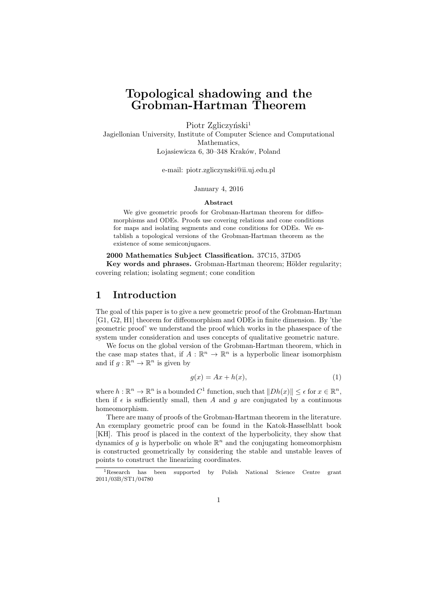# **Topological shadowing and the Grobman-Hartman Theorem**

Piotr Zgliczyński<sup>1</sup> Jagiellonian University, Institute of Computer Science and Computational Mathematics, Lojasiewicza 6, 30–348 Kraków, Poland

e-mail: piotr.zgliczynski@ii.uj.edu.pl

#### January 4, 2016

#### **Abstract**

We give geometric proofs for Grobman-Hartman theorem for diffeomorphisms and ODEs. Proofs use covering relations and cone conditions for maps and isolating segments and cone conditions for ODEs. We establish a topological versions of the Grobman-Hartman theorem as the existence of some semiconjugaces.

#### **2000 Mathematics Subject Classification.** 37C15, 37D05

**Key words and phrases.** Grobman-Hartman theorem; Hölder regularity; covering relation; isolating segment; cone condition

## **1 Introduction**

The goal of this paper is to give a new geometric proof of the Grobman-Hartman [G1, G2, H1] theorem for diffeomorphism and ODEs in finite dimension. By 'the geometric proof' we understand the proof which works in the phasespace of the system under consideration and uses concepts of qualitative geometric nature.

We focus on the global version of the Grobman-Hartman theorem, which in the case map states that, if  $A: \mathbb{R}^n \to \mathbb{R}^n$  is a hyperbolic linear isomorphism and if  $g: \mathbb{R}^n \to \mathbb{R}^n$  is given by

$$
g(x) = Ax + h(x),\tag{1}
$$

where  $h: \mathbb{R}^n \to \mathbb{R}^n$  is a bounded  $C^1$  function, such that  $||Dh(x)|| \leq \epsilon$  for  $x \in \mathbb{R}^n$ , then if  $\epsilon$  is sufficiently small, then *A* and *g* are conjugated by a continuous homeomorphism.

There are many of proofs of the Grobman-Hartman theorem in the literature. An exemplary geometric proof can be found in the Katok-Hasselblatt book [KH]. This proof is placed in the context of the hyperbolicity, they show that dynamics of  $g$  is hyperbolic on whole  $\mathbb{R}^n$  and the conjugating homeomorphism is constructed geometrically by considering the stable and unstable leaves of points to construct the linearizing coordinates.

<sup>&</sup>lt;sup>1</sup>Research has been supported by Polish National Science Centre grant 2011/03B/ST1/04780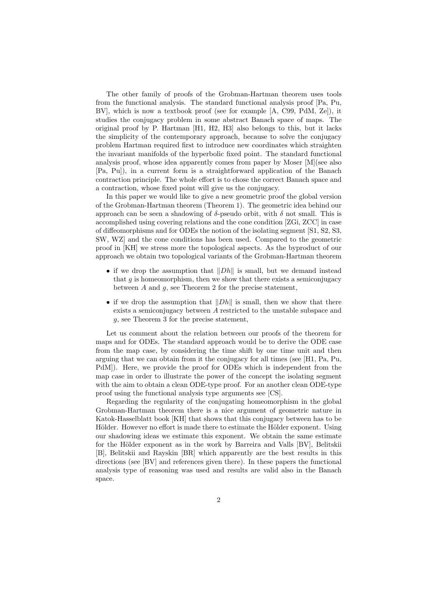The other family of proofs of the Grobman-Hartman theorem uses tools from the functional analysis. The standard functional analysis proof [Pa, Pu, BV], which is now a textbook proof (see for example [A, C99, PdM, Ze]), it studies the conjugacy problem in some abstract Banach space of maps. The original proof by P. Hartman [H1, H2, H3] also belongs to this, but it lacks the simplicity of the contemporary approach, because to solve the conjugacy problem Hartman required first to introduce new coordinates which straighten the invariant manifolds of the hyperbolic fixed point. The standard functional analysis proof, whose idea apparently comes from paper by Moser [M](see also [Pa, Pu]), in a current form is a straightforward application of the Banach contraction principle. The whole effort is to chose the correct Banach space and a contraction, whose fixed point will give us the conjugacy.

In this paper we would like to give a new geometric proof the global version of the Grobman-Hartman theorem (Theorem 1). The geometric idea behind our approach can be seen a shadowing of  $\delta$ -pseudo orbit, with  $\delta$  not small. This is accomplished using covering relations and the cone condition [ZGi, ZCC] in case of diffeomorphisms and for ODEs the notion of the isolating segment [S1, S2, S3, SW, WZ] and the cone conditions has been used. Compared to the geometric proof in [KH] we stress more the topological aspects. As the byproduct of our approach we obtain two topological variants of the Grobman-Hartman theorem

- *•* if we drop the assumption that *∥Dh∥* is small, but we demand instead that  $q$  is homeomorphism, then we show that there exists a semiconjugacy between *A* and *g*, see Theorem 2 for the precise statement,
- *•* if we drop the assumption that *∥Dh∥* is small, then we show that there exists a semiconjugacy between *A* restricted to the unstable subspace and *g*, see Theorem 3 for the precise statement,

Let us comment about the relation between our proofs of the theorem for maps and for ODEs. The standard approach would be to derive the ODE case from the map case, by considering the time shift by one time unit and then arguing that we can obtain from it the conjugacy for all times (see [H1, Pa, Pu, PdM]). Here, we provide the proof for ODEs which is independent from the map case in order to illustrate the power of the concept the isolating segment with the aim to obtain a clean ODE-type proof. For an another clean ODE-type proof using the functional analysis type arguments see [CS].

Regarding the regularity of the conjugating homeomorphism in the global Grobman-Hartman theorem there is a nice argument of geometric nature in Katok-Hasselblatt book [KH] that shows that this conjugacy between has to be Hölder. However no effort is made there to estimate the Hölder exponent. Using our shadowing ideas we estimate this exponent. We obtain the same estimate for the Hölder exponent as in the work by Barreira and Valls [BV], Belitskii [B], Belitskii and Rayskin [BR] which apparently are the best results in this directions (see [BV] and references given there). In these papers the functional analysis type of reasoning was used and results are valid also in the Banach space.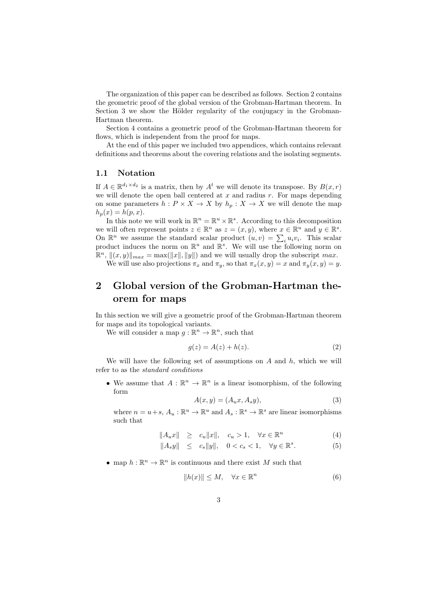The organization of this paper can be described as follows. Section 2 contains the geometric proof of the global version of the Grobman-Hartman theorem. In Section 3 we show the Hölder regularity of the conjugacy in the Grobman-Hartman theorem.

Section 4 contains a geometric proof of the Grobman-Hartman theorem for flows, which is independent from the proof for maps.

At the end of this paper we included two appendices, which contains relevant definitions and theorems about the covering relations and the isolating segments.

## **1.1 Notation**

If  $A \in \mathbb{R}^{d_1 \times d_2}$  is a matrix, then by  $A^t$  we will denote its transpose. By  $B(x, r)$ we will denote the open ball centered at *x* and radius *r*. For maps depending on some parameters  $h: P \times X \to X$  by  $h_p: X \to X$  we will denote the map  $h_p(x) = h(p, x)$ .

In this note we will work in  $\mathbb{R}^n = \mathbb{R}^u \times \mathbb{R}^s$ . According to this decomposition we will often represent points  $z \in \mathbb{R}^n$  as  $z = (x, y)$ , where  $x \in \mathbb{R}^u$  and  $y \in \mathbb{R}^s$ . On  $\mathbb{R}^n$  we assume the standard scalar product  $(u, v) = \sum_i u_i v_i$ . This scalar product induces the norm on  $\mathbb{R}^u$  and  $\mathbb{R}^s$ . We will use the following norm on  $\mathbb{R}^n$ ,  $\|(x, y)\|_{max} = \max(\|x\|, \|y\|)$  and we will usually drop the subscript *max*. We will use also projections  $\pi_x$  and  $\pi_y$ , so that  $\pi_x(x, y) = x$  and  $\pi_y(x, y) = y$ .

# **2 Global version of the Grobman-Hartman theorem for maps**

In this section we will give a geometric proof of the Grobman-Hartman theorem for maps and its topological variants.

We will consider a map  $g : \mathbb{R}^n \to \mathbb{R}^n$ , such that

$$
g(z) = A(z) + h(z). \tag{2}
$$

We will have the following set of assumptions on *A* and *h*, which we will refer to as the *standard conditions*

• We assume that  $A: \mathbb{R}^n \to \mathbb{R}^n$  is a linear isomorphism, of the following form

$$
A(x,y) = (A_u x, A_s y), \tag{3}
$$

where  $n = u + s$ ,  $A_u : \mathbb{R}^u \to \mathbb{R}^u$  and  $A_s : \mathbb{R}^s \to \mathbb{R}^s$  are linear isomorphisms such that

$$
||A_u x|| \ge c_u ||x||, \quad c_u > 1, \quad \forall x \in \mathbb{R}^u \tag{4}
$$

$$
||A_s y|| \le c_s ||y||, \quad 0 < c_s < 1, \quad \forall y \in \mathbb{R}^s. \tag{5}
$$

• map  $h: \mathbb{R}^n \to \mathbb{R}^n$  is continuous and there exist *M* such that

$$
||h(x)|| \le M, \quad \forall x \in \mathbb{R}^n \tag{6}
$$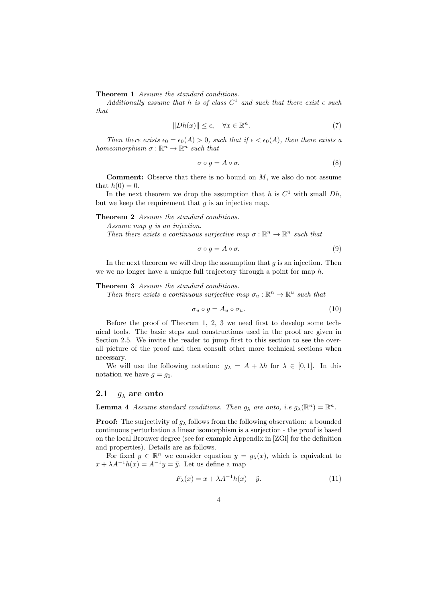**Theorem 1** *Assume the standard conditions.*

*Additionally assume that h is of class*  $C^1$  *and such that there exist*  $\epsilon$  *such that*

$$
||Dh(x)|| \le \epsilon, \quad \forall x \in \mathbb{R}^n. \tag{7}
$$

*Then there exists*  $\epsilon_0 = \epsilon_0(A) > 0$ *, such that if*  $\epsilon < \epsilon_0(A)$ *, then there exists a homeomorphism*  $\sigma : \mathbb{R}^n \to \mathbb{R}^n$  *such that* 

$$
\sigma \circ g = A \circ \sigma. \tag{8}
$$

**Comment:** Observe that there is no bound on *M*, we also do not assume that  $h(0) = 0$ .

In the next theorem we drop the assumption that  $h$  is  $C^1$  with small  $Dh$ , but we keep the requirement that  $g$  is an injective map.

**Theorem 2** *Assume the standard conditions.*

*Assume map g is an injection.*

*Then there exists a continuous surjective map*  $\sigma : \mathbb{R}^n \to \mathbb{R}^n$  *such that* 

$$
\sigma \circ g = A \circ \sigma. \tag{9}
$$

In the next theorem we will drop the assumption that *g* is an injection. Then we we no longer have a unique full trajectory through a point for map *h*.

#### **Theorem 3** *Assume the standard conditions.*

*Then there exists a continuous surjective map*  $\sigma_u : \mathbb{R}^n \to \mathbb{R}^u$  such that

$$
\sigma_u \circ g = A_u \circ \sigma_u. \tag{10}
$$

Before the proof of Theorem 1, 2, 3 we need first to develop some technical tools. The basic steps and constructions used in the proof are given in Section 2.5. We invite the reader to jump first to this section to see the overall picture of the proof and then consult other more technical sections when necessary.

We will use the following notation:  $g_{\lambda} = A + \lambda h$  for  $\lambda \in [0,1]$ . In this notation we have  $g = g_1$ .

#### **2.1** *g<sup>λ</sup>* **are onto**

**Lemma 4** *Assume standard conditions. Then*  $g_{\lambda}$  *are onto, i.e*  $g_{\lambda}(\mathbb{R}^n) = \mathbb{R}^n$ *.* 

**Proof:** The surjectivity of  $g_{\lambda}$  follows from the following observation: a bounded continuous perturbation a linear isomorphism is a surjection - the proof is based on the local Brouwer degree (see for example Appendix in [ZGi] for the definition and properties). Details are as follows.

For fixed  $y \in \mathbb{R}^n$  we consider equation  $y = g_\lambda(x)$ , which is equivalent to  $x + \lambda A^{-1}h(x) = A^{-1}y = \tilde{y}$ . Let us define a map

$$
F_{\lambda}(x) = x + \lambda A^{-1}h(x) - \tilde{y}.
$$
\n(11)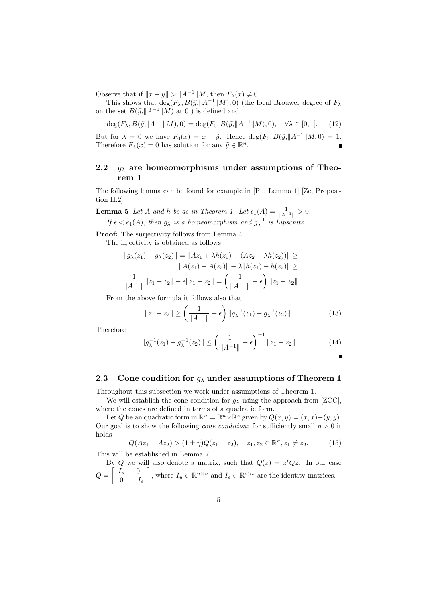Observe that if  $||x - \tilde{y}|| > ||A^{-1}||M$ , then  $F_{\lambda}(x) \neq 0$ .

This shows that  $\deg(F_\lambda, B(\tilde{y}, \|A^{-1}\|M), 0)$  (the local Brouwer degree of  $F_\lambda$ on the set  $B(\tilde y, \|A^{-1}\|M)$  at 0 ) is defined and

$$
\deg(F_{\lambda}, B(\tilde{y}, \|A^{-1}\|M), 0) = \deg(F_0, B(\tilde{y}, \|A^{-1}\|M), 0), \quad \forall \lambda \in [0, 1].
$$
 (12)

But for  $\lambda = 0$  we have  $F_0(x) = x - \tilde{y}$ . Hence  $\deg(F_0, B(\tilde{y}, \|A^{-1}\|M, 0) = 1$ . Therefore  $F_{\lambda}(x) = 0$  has solution for any  $\tilde{y} \in \mathbb{R}^{n}$ .  $\blacksquare$ 

## **2.2** *g<sup>λ</sup>* **are homeomorphisms under assumptions of Theorem 1**

The following lemma can be found for example in [Pu, Lemma 1] [Ze, Proposition II.2]

**Lemma 5** *Let A and h be as in Theorem 1. Let*  $\epsilon_1(A) = \frac{1}{\|A^{-1}\|} > 0$ . *If*  $\epsilon < \epsilon_1(A)$ , then  $g_{\lambda}$  *is a homeomorphism and*  $g_{\lambda}^{-1}$  *is Lipschitz.* 

**Proof:** The surjectivity follows from Lemma 4.

The injectivity is obtained as follows

$$
||g_{\lambda}(z_1) - g_{\lambda}(z_2)|| = ||Az_1 + \lambda h(z_1) - (Az_2 + \lambda h(z_2))|| \ge
$$
  

$$
||A(z_1) - A(z_2)|| - \lambda ||h(z_1) - h(z_2)|| \ge
$$
  

$$
\frac{1}{||A^{-1}||} ||z_1 - z_2|| - \epsilon ||z_1 - z_2|| = \left(\frac{1}{||A^{-1}||} - \epsilon\right) ||z_1 - z_2||.
$$

From the above formula it follows also that

$$
||z_1 - z_2|| \ge \left(\frac{1}{||A^{-1}||} - \epsilon\right) ||g_{\lambda}^{-1}(z_1) - g_{\lambda}^{-1}(z_2)||. \tag{13}
$$

Therefore

$$
||g_{\lambda}^{-1}(z_1) - g_{\lambda}^{-1}(z_2)|| \le \left(\frac{1}{||A^{-1}||} - \epsilon\right)^{-1} ||z_1 - z_2|| \tag{14}
$$

## **2.3 Cone condition for** *g<sup>λ</sup>* **under assumptions of Theorem 1**

Throughout this subsection we work under assumptions of Theorem 1.

We will establish the cone condition for  $g_{\lambda}$  using the approach from [ZCC], where the cones are defined in terms of a quadratic form.

Let *Q* be an quadratic form in  $\mathbb{R}^n = \mathbb{R}^u \times \mathbb{R}^s$  given by  $Q(x, y) = (x, x) - (y, y)$ . Our goal is to show the following *cone condition*: for sufficiently small  $\eta > 0$  it holds

$$
Q(Az_1 - Az_2) > (1 \pm \eta)Q(z_1 - z_2), \quad z_1, z_2 \in \mathbb{R}^n, z_1 \neq z_2.
$$
 (15)

This will be established in Lemma 7.

By *Q* we will also denote a matrix, such that  $Q(z) = z^t Q z$ . In our case  $Q =$  $\int I_u = 0$ 0 *−I<sup>s</sup>* ] , where  $I_u \in \mathbb{R}^{u \times u}$  and  $I_s \in \mathbb{R}^{s \times s}$  are the identity matrices.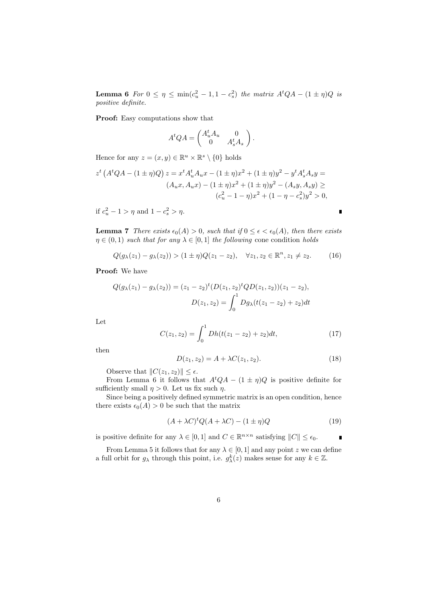**Lemma 6** *For*  $0 \le \eta \le \min(c_u^2 - 1, 1 - c_s^2)$  *the matrix*  $A^tQA - (1 \pm \eta)Q$  *is positive definite.*

**Proof:** Easy computations show that

$$
A^t Q A = \begin{pmatrix} A_u^t A_u & 0 \\ 0 & A_s^t A_s \end{pmatrix}.
$$

Hence for any  $z = (x, y) \in \mathbb{R}^u \times \mathbb{R}^s \setminus \{0\}$  holds

$$
z^{t} (A^{t}QA - (1 \pm \eta)Q) z = x^{t} A_{u}^{t} A_{u} x - (1 \pm \eta)x^{2} + (1 \pm \eta)y^{2} - y^{t} A_{s}^{t} A_{s} y =
$$
  

$$
(A_{u}x, A_{u}x) - (1 \pm \eta)x^{2} + (1 \pm \eta)y^{2} - (A_{s}y, A_{s}y) \ge
$$
  

$$
(c_{u}^{2} - 1 - \eta)x^{2} + (1 - \eta - c_{s}^{2})y^{2} > 0,
$$

if  $c_u^2 - 1 > \eta$  and  $1 - c_s^2 > \eta$ .

**Lemma 7** *There exists*  $\epsilon_0(A) > 0$ *, such that* if  $0 \leq \epsilon < \epsilon_0(A)$ *, then there exists*  $\eta \in (0,1)$  *such that for any*  $\lambda \in [0,1]$  *the following* cone condition *holds* 

$$
Q(g_{\lambda}(z_1) - g_{\lambda}(z_2)) > (1 \pm \eta)Q(z_1 - z_2), \quad \forall z_1, z_2 \in \mathbb{R}^n, z_1 \neq z_2.
$$
 (16)

**Proof:** We have

$$
Q(g_{\lambda}(z_1) - g_{\lambda}(z_2)) = (z_1 - z_2)^t (D(z_1, z_2)^t Q D(z_1, z_2))(z_1 - z_2),
$$
  

$$
D(z_1, z_2) = \int_0^1 Dg_{\lambda}(t(z_1 - z_2) + z_2)dt
$$

Let

$$
C(z_1, z_2) = \int_0^1 Dh(t(z_1 - z_2) + z_2)dt, \qquad (17)
$$

then

$$
D(z_1, z_2) = A + \lambda C(z_1, z_2). \tag{18}
$$

п

Observe that  $||C(z_1, z_2)|| \leq \epsilon$ .

From Lemma 6 it follows that  $A<sup>t</sup>QA - (1 \pm \eta)Q$  is positive definite for sufficiently small  $\eta > 0$ . Let us fix such  $\eta$ .

Since being a positively defined symmetric matrix is an open condition, hence there exists  $\epsilon_0(A) > 0$  be such that the matrix

$$
(A + \lambda C)^t Q (A + \lambda C) - (1 \pm \eta) Q \tag{19}
$$

is positive definite for any  $\lambda \in [0, 1]$  and  $C \in \mathbb{R}^{n \times n}$  satisfying  $||C|| \leq \epsilon_0$ . П

From Lemma 5 it follows that for any  $\lambda \in [0, 1]$  and any point *z* we can define a full orbit for  $g_{\lambda}$  through this point, i.e.  $g_{\lambda}^{k}(z)$  makes sense for any  $k \in \mathbb{Z}$ .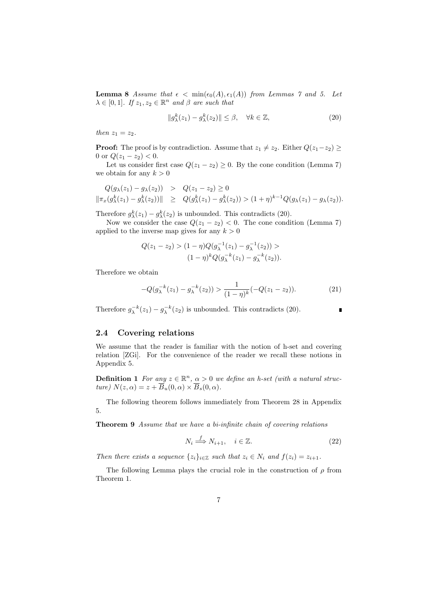**Lemma 8** *Assume that*  $\epsilon < \min(\epsilon_0(A), \epsilon_1(A))$  *from Lemmas 7 and 5. Let*  $\lambda \in [0, 1]$ *. If*  $z_1, z_2 \in \mathbb{R}^n$  *and*  $\beta$  *are such that* 

$$
||g_{\lambda}^{k}(z_{1}) - g_{\lambda}^{k}(z_{2})|| \leq \beta, \quad \forall k \in \mathbb{Z},
$$
\n(20)

*then*  $z_1 = z_2$ *.* 

**Proof:** The proof is by contradiction. Assume that  $z_1 \neq z_2$ . Either  $Q(z_1-z_2) \geq$ 0 or  $Q(z_1 - z_2) < 0$ .

Let us consider first case  $Q(z_1 - z_2) \geq 0$ . By the cone condition (Lemma 7) we obtain for any  $k > 0$ 

$$
Q(g_{\lambda}(z_1) - g_{\lambda}(z_2)) > Q(z_1 - z_2) \ge 0
$$
  

$$
\|\pi_x(g_{\lambda}^k(z_1) - g_{\lambda}^k(z_2))\| \ge Q(g_{\lambda}^k(z_1) - g_{\lambda}^k(z_2)) > (1 + \eta)^{k-1}Q(g_{\lambda}(z_1) - g_{\lambda}(z_2)).
$$

Therefore  $g_{\lambda}^{k}(z_1) - g_{\lambda}^{k}(z_2)$  is unbounded. This contradicts (20).

Now we consider the case  $Q(z_1 - z_2) < 0$ . The cone condition (Lemma 7) applied to the inverse map gives for any  $k > 0$ 

$$
Q(z_1 - z_2) > (1 - \eta)Q(g_{\lambda}^{-1}(z_1) - g_{\lambda}^{-1}(z_2)) >
$$
  

$$
(1 - \eta)^k Q(g_{\lambda}^{-k}(z_1) - g_{\lambda}^{-k}(z_2)).
$$

Therefore we obtain

$$
-Q(g_{\lambda}^{-k}(z_1) - g_{\lambda}^{-k}(z_2)) > \frac{1}{(1 - \eta)^k}(-Q(z_1 - z_2)).\tag{21}
$$

Therefore  $g_{\lambda}^{-k}(z_1) - g_{\lambda}^{-k}(z_2)$  is unbounded. This contradicts (20).

## **2.4 Covering relations**

We assume that the reader is familiar with the notion of h-set and covering relation [ZGi]. For the convenience of the reader we recall these notions in Appendix 5.

**Definition 1** *For any*  $z \in \mathbb{R}^n$ ,  $\alpha > 0$  *we define an h-set (with a natural structure*)  $N(z, \alpha) = z + \overline{B}_u(0, \alpha) \times \overline{B}_s(0, \alpha)$ .

The following theorem follows immediately from Theorem 28 in Appendix 5.

**Theorem 9** *Assume that we have a bi-infinite chain of covering relations*

$$
N_i \stackrel{f}{\Longrightarrow} N_{i+1}, \quad i \in \mathbb{Z}.\tag{22}
$$

*Then there exists a sequence*  $\{z_i\}_{i\in\mathbb{Z}}$  *such that*  $z_i \in N_i$  *and*  $f(z_i) = z_{i+1}$ *.* 

The following Lemma plays the crucial role in the construction of *ρ* from Theorem 1.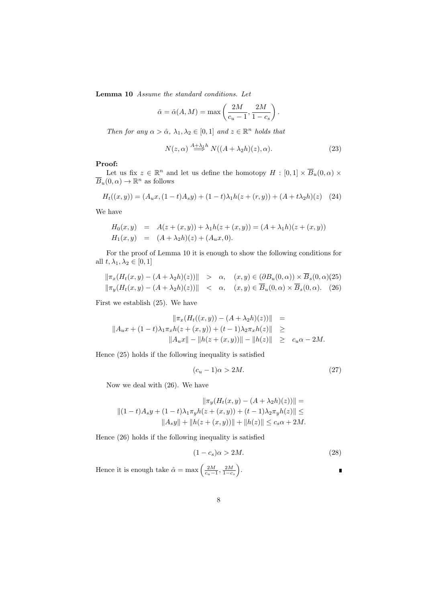**Lemma 10** *Assume the standard conditions. Let*

$$
\hat{\alpha} = \hat{\alpha}(A, M) = \max\left(\frac{2M}{c_u - 1}, \frac{2M}{1 - c_s}\right).
$$

*Then for any*  $\alpha > \hat{\alpha}$ ,  $\lambda_1, \lambda_2 \in [0, 1]$  *and*  $z \in \mathbb{R}^n$  *holds that* 

$$
N(z,\alpha) \stackrel{A+\lambda_1 h}{\Longrightarrow} N((A+\lambda_2 h)(z),\alpha). \tag{23}
$$

#### **Proof:**

Let us fix  $z \in \mathbb{R}^n$  and let us define the homotopy  $H : [0,1] \times \overline{B}_u(0, \alpha) \times$  $\overline{B}_u(0, \alpha) \to \mathbb{R}^n$  as follows

$$
H_t((x,y)) = (A_u x, (1-t)A_s y) + (1-t)\lambda_1 h(z + (r, y)) + (A + t\lambda_2 h)(z)
$$
 (24)

We have

$$
H_0(x, y) = A(z + (x, y)) + \lambda_1 h(z + (x, y)) = (A + \lambda_1 h)(z + (x, y))
$$
  
\n
$$
H_1(x, y) = (A + \lambda_2 h)(z) + (A_u x, 0).
$$

For the proof of Lemma 10 it is enough to show the following conditions for all  $t, \lambda_1, \lambda_2 \in [0, 1]$ 

$$
\|\pi_x(H_t(x,y) - (A + \lambda_2 h)(z))\| > \alpha, \quad (x,y) \in (\partial B_u(0,\alpha)) \times B_s(0,\alpha)(25)
$$
  

$$
\|\pi_y(H_t(x,y) - (A + \lambda_2 h)(z))\| < \alpha, \quad (x,y) \in \overline{B}_u(0,\alpha) \times \overline{B}_s(0,\alpha).
$$
 (26)

First we establish (25). We have

$$
\|\pi_x(H_t((x,y)) - (A + \lambda_2 h)(z))\| =
$$
  

$$
\|A_ux + (1-t)\lambda_1 \pi_x h(z + (x,y)) + (t-1)\lambda_2 \pi_x h(z)\| \ge
$$
  

$$
\|A_ux\| - \|h(z + (x,y))\| - \|h(z)\| \ge c_u \alpha - 2M.
$$

Hence (25) holds if the following inequality is satisfied

$$
(c_u - 1)\alpha > 2M.\t(27)
$$

Now we deal with (26). We have

$$
\|\pi_y(H_t(x, y) - (A + \lambda_2 h)(z))\| =
$$
  
 
$$
\|(1-t)A_sy + (1-t)\lambda_1\pi_y h(z + (x, y)) + (t-1)\lambda_2\pi_y h(z)\| \le
$$
  
 
$$
\|A_sy\| + \|h(z + (x, y))\| + \|h(z)\| \le c_s \alpha + 2M.
$$

Hence (26) holds if the following inequality is satisfied

$$
(1 - c_s)\alpha > 2M.\tag{28}
$$

П

Hence it is enough take  $\hat{\alpha} = \max\left(\frac{2M}{c_u - 1}, \frac{2M}{1 - c_s}\right)$ ) .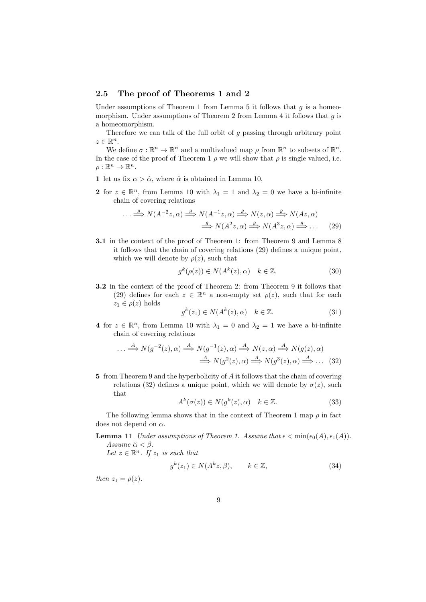## **2.5 The proof of Theorems 1 and 2**

Under assumptions of Theorem 1 from Lemma 5 it follows that  $q$  is a homeomorphism. Under assumptions of Theorem 2 from Lemma 4 it follows that *g* is a homeomorphism.

Therefore we can talk of the full orbit of *g* passing through arbitrary point  $z \in \mathbb{R}^n$ .

We define  $\sigma : \mathbb{R}^n \to \mathbb{R}^n$  and a multivalued map  $\rho$  from  $\mathbb{R}^n$  to subsets of  $\mathbb{R}^n$ . In the case of the proof of Theorem 1  $\rho$  we will show that  $\rho$  is single valued, i.e.  $\rho:\mathbb{R}^n\to\mathbb{R}^n$ .

- **1** let us fix  $\alpha > \hat{\alpha}$ , where  $\hat{\alpha}$  is obtained in Lemma 10,
- **2** for  $z \in \mathbb{R}^n$ , from Lemma 10 with  $\lambda_1 = 1$  and  $\lambda_2 = 0$  we have a bi-infinite chain of covering relations

$$
\cdots \xrightarrow{g} N(A^{-2}z, \alpha) \xrightarrow{g} N(A^{-1}z, \alpha) \xrightarrow{g} N(z, \alpha) \xrightarrow{g} N(Az, \alpha)
$$
  

$$
\xrightarrow{g} N(A^2z, \alpha) \xrightarrow{g} N(A^3z, \alpha) \xrightarrow{g} \cdots
$$
 (29)

**3.1** in the context of the proof of Theorem 1: from Theorem 9 and Lemma 8 it follows that the chain of covering relations (29) defines a unique point, which we will denote by  $\rho(z)$ , such that

$$
g^k(\rho(z)) \in N(A^k(z), \alpha) \quad k \in \mathbb{Z}.\tag{30}
$$

**3.2** in the context of the proof of Theorem 2: from Theorem 9 it follows that (29) defines for each  $z \in \mathbb{R}^n$  a non-empty set  $\rho(z)$ , such that for each  $z_1 \in \rho(z)$  holds

$$
g^k(z_1) \in N(A^k(z), \alpha) \quad k \in \mathbb{Z}.\tag{31}
$$

**4** for  $z \in \mathbb{R}^n$ , from Lemma 10 with  $\lambda_1 = 0$  and  $\lambda_2 = 1$  we have a bi-infinite chain of covering relations

$$
\dots \stackrel{A}{\Longrightarrow} N(g^{-2}(z), \alpha) \stackrel{A}{\Longrightarrow} N(g^{-1}(z), \alpha) \stackrel{A}{\Longrightarrow} N(z, \alpha) \stackrel{A}{\Longrightarrow} N(g(z), \alpha)
$$
  

$$
\stackrel{A}{\Longrightarrow} N(g^{2}(z), \alpha) \stackrel{A}{\Longrightarrow} N(g^{3}(z), \alpha) \stackrel{A}{\Longrightarrow} \dots
$$
(32)

**5** from Theorem 9 and the hyperbolicity of *A* it follows that the chain of covering relations (32) defines a unique point, which we will denote by  $\sigma(z)$ , such that

$$
A^k(\sigma(z)) \in N(g^k(z), \alpha) \quad k \in \mathbb{Z}.\tag{33}
$$

The following lemma shows that in the context of Theorem 1 map  $\rho$  in fact does not depend on *α*.

**Lemma 11** *Under assumptions of Theorem 1. Assume that*  $\epsilon < \min(\epsilon_0(A), \epsilon_1(A))$ *. Assume*  $\hat{\alpha} < \beta$ .

*Let*  $z \in \mathbb{R}^n$ *. If*  $z_1$  *is such that* 

$$
g^k(z_1) \in N(A^k z, \beta), \qquad k \in \mathbb{Z}, \tag{34}
$$

*then*  $z_1 = \rho(z)$ *.*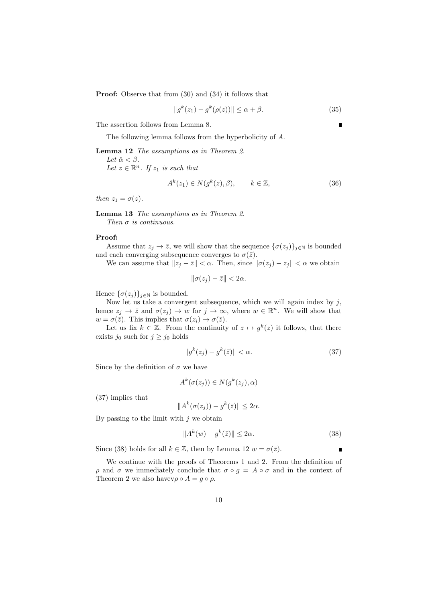**Proof:** Observe that from  $(30)$  and  $(34)$  it follows that

$$
||g^{k}(z_{1}) - g^{k}(\rho(z))|| \leq \alpha + \beta.
$$
 (35)

The assertion follows from Lemma 8.

The following lemma follows from the hyperbolicity of *A*.

**Lemma 12** *The assumptions as in Theorem 2.*

*Let*  $\hat{\alpha} < \beta$ *. Let*  $z \in \mathbb{R}^n$ *. If*  $z_1$  *is such that* 

$$
A^k(z_1) \in N(g^k(z), \beta), \qquad k \in \mathbb{Z}, \tag{36}
$$

*then*  $z_1 = \sigma(z)$ *.* 

**Lemma 13** *The assumptions as in Theorem 2. Then σ is continuous.*

#### **Proof:**

Assume that  $z_j \to \overline{z}$ , we will show that the sequence  $\{\sigma(z_j)\}_{j\in\mathbb{N}}$  is bounded and each converging subsequence converges to  $\sigma(\bar{z})$ .

We can assume that  $||z_j - \bar{z}|| < \alpha$ . Then, since  $||\sigma(z_j) - z_j|| < \alpha$  we obtain

$$
\|\sigma(z_j)-\bar{z}\|<2\alpha.
$$

Hence  $\{\sigma(z_i)\}_{i\in\mathbb{N}}$  is bounded.

Now let us take a convergent subsequence, which we will again index by *j*, hence  $z_j \to \overline{z}$  and  $\sigma(z_j) \to w$  for  $j \to \infty$ , where  $w \in \mathbb{R}^n$ . We will show that  $w = \sigma(\overline{z})$ . This implies that  $\sigma(z_i) \to \sigma(\overline{z})$ .

Let us fix  $k \in \mathbb{Z}$ . From the continuity of  $z \mapsto g^k(z)$  it follows, that there exists  $j_0$  such for  $j \geq j_0$  holds

$$
||g^k(z_j) - g^k(\bar{z})|| < \alpha.
$$
\n(37)

Since by the definition of  $\sigma$  we have

$$
A^k(\sigma(z_j)) \in N(g^k(z_j), \alpha)
$$

(37) implies that

$$
||A^k(\sigma(z_j)) - g^k(\bar{z})|| \leq 2\alpha.
$$

By passing to the limit with *j* we obtain

$$
||A^k(w) - g^k(\bar{z})|| \le 2\alpha.
$$
\n(38)

Since (38) holds for all  $k \in \mathbb{Z}$ , then by Lemma 12  $w = \sigma(\bar{z})$ .

We continue with the proofs of Theorems 1 and 2. From the definition of *ρ* and *σ* we immediately conclude that  $\sigma \circ g = A \circ \sigma$  and in the context of Theorem 2 we also havev $\rho \circ A = g \circ \rho$ .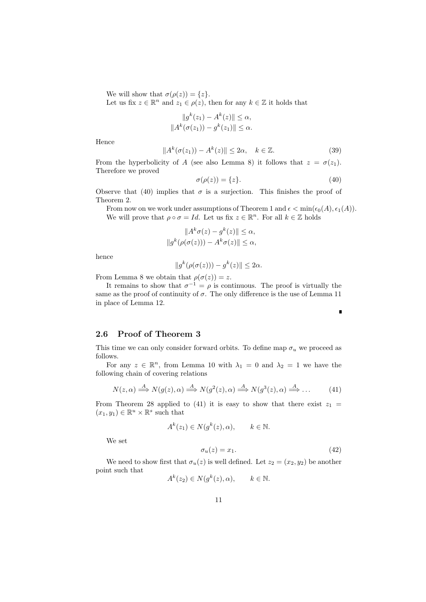We will show that  $\sigma(\rho(z)) = \{z\}.$ 

Let us fix  $z \in \mathbb{R}^n$  and  $z_1 \in \rho(z)$ , then for any  $k \in \mathbb{Z}$  it holds that

$$
||g^k(z_1) - A^k(z)|| \le \alpha,
$$
  

$$
||A^k(\sigma(z_1)) - g^k(z_1)|| \le \alpha.
$$

Hence

$$
||A^k(\sigma(z_1)) - A^k(z)|| \le 2\alpha, \quad k \in \mathbb{Z}.
$$
 (39)

From the hyperbolicity of *A* (see also Lemma 8) it follows that  $z = \sigma(z_1)$ . Therefore we proved

$$
\sigma(\rho(z)) = \{z\}.\tag{40}
$$

П

Observe that (40) implies that  $\sigma$  is a surjection. This finishes the proof of Theorem 2.

*k*

From now on we work under assumptions of Theorem 1 and  $\epsilon < \min(\epsilon_0(A), \epsilon_1(A)).$ We will prove that  $\rho \circ \sigma = Id$ . Let us fix  $z \in \mathbb{R}^n$ . For all  $k \in \mathbb{Z}$  holds

$$
||Ak\sigma(z) - gk(z)|| \le \alpha,
$$
  

$$
||gk(\rho(\sigma(z))) - Ak\sigma(z)|| \le \alpha,
$$

hence

$$
||g^k(\rho(\sigma(z))) - g^k(z)|| \leq 2\alpha.
$$

From Lemma 8 we obtain that  $\rho(\sigma(z)) = z$ .

It remains to show that  $\sigma^{-1} = \rho$  is continuous. The proof is virtually the same as the proof of continuity of  $\sigma$ . The only difference is the use of Lemma 11 in place of Lemma 12.

## **2.6 Proof of Theorem 3**

This time we can only consider forward orbits. To define map  $\sigma_u$  we proceed as follows.

For any  $z \in \mathbb{R}^n$ , from Lemma 10 with  $\lambda_1 = 0$  and  $\lambda_2 = 1$  we have the following chain of covering relations

$$
N(z, \alpha) \stackrel{A}{\Longrightarrow} N(g(z), \alpha) \stackrel{A}{\Longrightarrow} N(g^2(z), \alpha) \stackrel{A}{\Longrightarrow} N(g^3(z), \alpha) \stackrel{A}{\Longrightarrow} \dots
$$
 (41)

From Theorem 28 applied to (41) it is easy to show that there exist  $z_1$  $(x_1, y_1) \in \mathbb{R}^u \times \mathbb{R}^s$  such that

$$
A^k(z_1) \in N(g^k(z), \alpha), \qquad k \in \mathbb{N}.
$$

We set

$$
\sigma_u(z) = x_1. \tag{42}
$$

We need to show first that  $\sigma_u(z)$  is well defined. Let  $z_2 = (x_2, y_2)$  be another point such that

$$
A^k(z_2) \in N(g^k(z), \alpha), \qquad k \in \mathbb{N}.
$$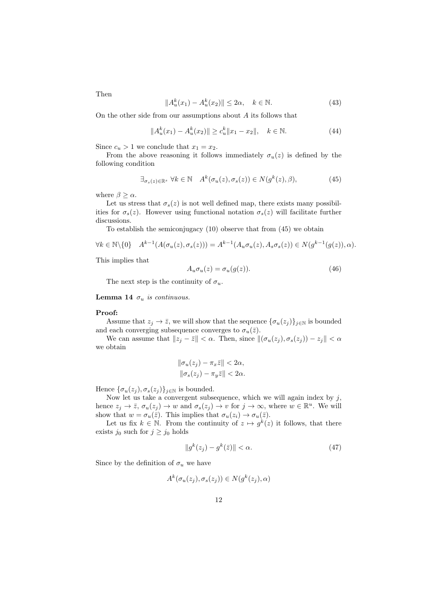Then

$$
||A_u^k(x_1) - A_u^k(x_2)|| \le 2\alpha, \quad k \in \mathbb{N}.
$$
 (43)

On the other side from our assumptions about *A* its follows that

$$
||A_u^k(x_1) - A_u^k(x_2)|| \ge c_u^k ||x_1 - x_2||, \quad k \in \mathbb{N}.
$$
 (44)

Since  $c_u > 1$  we conclude that  $x_1 = x_2$ .

From the above reasoning it follows immediately  $\sigma_u(z)$  is defined by the following condition

$$
\exists_{\sigma_s(z)\in\mathbb{R}^s} \ \forall k\in\mathbb{N} \quad A^k(\sigma_u(z),\sigma_s(z))\in N(g^k(z),\beta),\tag{45}
$$

where  $\beta \geq \alpha$ .

Let us stress that  $\sigma_s(z)$  is not well defined map, there exists many possibilities for  $\sigma_s(z)$ . However using functional notation  $\sigma_s(z)$  will facilitate further discussions.

To establish the semiconjugacy (10) observe that from (45) we obtain

$$
\forall k \in \mathbb{N} \setminus \{0\} \quad A^{k-1}(A(\sigma_u(z), \sigma_s(z))) = A^{k-1}(A_u \sigma_u(z), A_s \sigma_s(z)) \in N(g^{k-1}(g(z)), \alpha).
$$

This implies that

$$
A_u \sigma_u(z) = \sigma_u(g(z)). \tag{46}
$$

The next step is the continuity of  $\sigma_u$ .

#### **Lemma 14**  $\sigma_u$  *is continuous.*

#### **Proof:**

Assume that  $z_j \to \overline{z}$ , we will show that the sequence  $\{\sigma_u(z_j)\}_{j \in \mathbb{N}}$  is bounded and each converging subsequence converges to  $\sigma_u(\bar{z})$ .

We can assume that  $||z_j - \bar{z}|| < \alpha$ . Then, since  $||(\sigma_u(z_j), \sigma_s(z_j)) - z_j|| < \alpha$ we obtain

$$
\|\sigma_u(z_j) - \pi_x \bar{z}\| < 2\alpha,
$$
\n
$$
\|\sigma_s(z_j) - \pi_y \bar{z}\| < 2\alpha.
$$

Hence  $\{\sigma_u(z_j), \sigma_s(z_j)\}_{j \in \mathbb{N}}$  is bounded.

Now let us take a convergent subsequence, which we will again index by *j*, hence  $z_j \to \overline{z}$ ,  $\sigma_u(z_j) \to w$  and  $\sigma_s(z_j) \to v$  for  $j \to \infty$ , where  $w \in \mathbb{R}^u$ . We will show that  $w = \sigma_u(\bar{z})$ . This implies that  $\sigma_u(z_i) \to \sigma_u(\bar{z})$ .

Let us fix  $k \in \mathbb{N}$ . From the continuity of  $z \mapsto g^k(z)$  it follows, that there exists  $j_0$  such for  $j \geq j_0$  holds

$$
||g^k(z_j) - g^k(\bar{z})|| < \alpha.
$$
\n
$$
(47)
$$

Since by the definition of  $\sigma_u$  we have

$$
A^k(\sigma_u(z_j), \sigma_s(z_j)) \in N(g^k(z_j), \alpha)
$$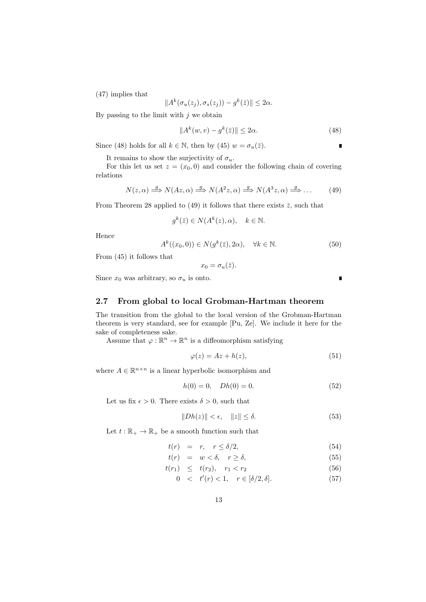(47) implies that

$$
||A^k(\sigma_u(z_j), \sigma_s(z_j)) - g^k(\bar{z})|| \leq 2\alpha.
$$

By passing to the limit with *j* we obtain

$$
||A^k(w,v) - g^k(\bar{z})|| \le 2\alpha.
$$
\n(48)

п

ī

Since (48) holds for all  $k \in \mathbb{N}$ , then by (45)  $w = \sigma_u(\bar{z})$ .

It remains to show the surjectivity of  $\sigma_u$ .

For this let us set  $z = (x_0, 0)$  and consider the following chain of covering relations

$$
N(z, \alpha) \stackrel{g}{\Longrightarrow} N(Az, \alpha) \stackrel{g}{\Longrightarrow} N(A^2 z, \alpha) \stackrel{g}{\Longrightarrow} N(A^3 z, \alpha) \stackrel{g}{\Longrightarrow} \dots
$$
 (49)

From Theorem 28 applied to (49) it follows that there exists  $\bar{z}$ , such that

$$
g^k(\bar{z}) \in N(A^k(z), \alpha), \quad k \in \mathbb{N}.
$$

Hence

$$
A^k((x_0,0)) \in N(g^k(\bar{z}), 2\alpha), \quad \forall k \in \mathbb{N}.
$$
 (50)

From (45) it follows that

 $x_0 = \sigma_u(\bar{z})$ .

Since  $x_0$  was arbitrary, so  $\sigma_u$  is onto.

## **2.7 From global to local Grobman-Hartman theorem**

The transition from the global to the local version of the Grobman-Hartman theorem is very standard, see for example [Pu, Ze]. We include it here for the sake of completeness sake.

Assume that  $\varphi : \mathbb{R}^n \to \mathbb{R}^n$  is a diffeomorphism satisfying

$$
\varphi(z) = Az + h(z),\tag{51}
$$

where  $A \in \mathbb{R}^{n \times n}$  is a linear hyperbolic isomorphism and

$$
h(0) = 0, \quad Dh(0) = 0.
$$
 (52)

Let us fix  $\epsilon > 0$ . There exists  $\delta > 0$ , such that

$$
||Dh(z)|| < \epsilon, \quad ||z|| \le \delta. \tag{53}
$$

Let  $t : \mathbb{R}_+ \to \mathbb{R}_+$  be a smooth function such that

$$
t(r) = r, \quad r \le \delta/2,\tag{54}
$$

$$
t(r) = w < \delta, \quad r \ge \delta,
$$
\n<sup>(55)</sup>

$$
t(r_1) \leq t(r_2), \quad r_1 < r_2 \tag{56}
$$

$$
0 < t'(r) < 1, \quad r \in [\delta/2, \delta]. \tag{57}
$$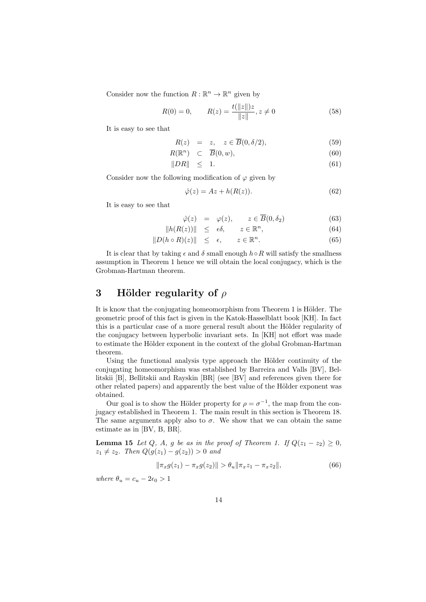Consider now the function  $R : \mathbb{R}^n \to \mathbb{R}^n$  given by

$$
R(0) = 0, \qquad R(z) = \frac{t(||z||)z}{||z||}, z \neq 0
$$
\n(58)

It is easy to see that

$$
R(z) = z, \quad z \in \overline{B}(0, \delta/2), \tag{59}
$$

$$
R(\mathbb{R}^n) \quad \subset \quad \overline{B}(0, w), \tag{60}
$$

$$
||DR|| \leq 1. \tag{61}
$$

Consider now the following modification of  $\varphi$  given by

$$
\hat{\varphi}(z) = Az + h(R(z)).\tag{62}
$$

It is easy to see that

$$
\hat{\varphi}(z) = \varphi(z), \qquad z \in \overline{B}(0, \delta_2) \tag{63}
$$

$$
||h(R(z))|| \leq \epsilon \delta, \qquad z \in \mathbb{R}^n,
$$
\n(64)

$$
||D(h \circ R)(z)|| \leq \epsilon, \qquad z \in \mathbb{R}^n. \tag{65}
$$

It is clear that by taking  $\epsilon$  and  $\delta$  small enough  $h \circ R$  will satisfy the smallness assumption in Theorem 1 hence we will obtain the local conjugacy, which is the Grobman-Hartman theorem.

# **3 H¨older regularity of** *ρ*

It is know that the conjugating homeomorphism from Theorem 1 is Hölder. The geometric proof of this fact is given in the Katok-Hasselblatt book [KH]. In fact this is a particular case of a more general result about the Hölder regularity of the conjugacy between hyperbolic invariant sets. In [KH] not effort was made to estimate the Hölder exponent in the context of the global Grobman-Hartman theorem.

Using the functional analysis type approach the Hölder continuity of the conjugating homeomorphism was established by Barreira and Valls [BV], Bellitskii [B], Bellitskii and Rayskin [BR] (see [BV] and references given there for other related papers) and apparently the best value of the Hölder exponent was obtained.

Our goal is to show the Hölder property for  $\rho = \sigma^{-1}$ , the map from the conjugacy established in Theorem 1. The main result in this section is Theorem 18. The same arguments apply also to  $\sigma$ . We show that we can obtain the same estimate as in [BV, B, BR].

**Lemma 15** *Let Q, A, q be as in the proof of Theorem 1. If*  $Q(z_1 - z_2) \geq 0$ *,*  $z_1 \neq z_2$ *. Then*  $Q(g(z_1) - g(z_2)) > 0$  *and* 

$$
\|\pi_x g(z_1) - \pi_x g(z_2)\| > \theta_u \|\pi_x z_1 - \pi_x z_2\|,\tag{66}
$$

*where*  $\theta_u = c_u - 2\epsilon_0 > 1$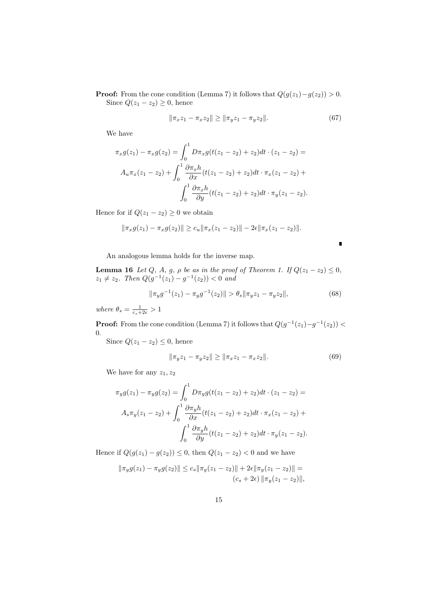**Proof:** From the cone condition (Lemma 7) it follows that  $Q(g(z_1)-g(z_2)) > 0$ . Since  $Q(z_1 - z_2) \geq 0$ , hence

$$
\|\pi_x z_1 - \pi_x z_2\| \ge \|\pi_y z_1 - \pi_y z_2\|.\tag{67}
$$

We have

$$
\pi_x g(z_1) - \pi_x g(z_2) = \int_0^1 D\pi_x g(t(z_1 - z_2) + z_2) dt \cdot (z_1 - z_2) =
$$
  

$$
A_u \pi_x (z_1 - z_2) + \int_0^1 \frac{\partial \pi_x h}{\partial x} (t(z_1 - z_2) + z_2) dt \cdot \pi_x (z_1 - z_2) +
$$
  

$$
\int_0^1 \frac{\partial \pi_x h}{\partial y} (t(z_1 - z_2) + z_2) dt \cdot \pi_y (z_1 - z_2).
$$

Hence for if  $Q(z_1 - z_2) \geq 0$  we obtain

$$
\|\pi_x g(z_1) - \pi_x g(z_2)\| \ge c_u \|\pi_x (z_1 - z_2)\| - 2\epsilon \|\pi_x (z_1 - z_2)\|.
$$

An analogous lemma holds for the inverse map.

**Lemma 16** *Let Q, A, g, ρ be as in the proof of Theorem 1. If*  $Q(z_1 - z_2) \leq 0$ *,*  $z_1 \neq z_2$ *. Then*  $Q(g^{-1}(z_1) - g^{-1}(z_2)) < 0$  and

$$
\|\pi_y g^{-1}(z_1) - \pi_y g^{-1}(z_2)\| > \theta_s \|\pi_y z_1 - \pi_y z_2\|,\tag{68}
$$

 $\blacksquare$ 

 $where \ \theta_s = \frac{1}{c_s + 2\epsilon} > 1$ 

**Proof:** From the cone condition (Lemma 7) it follows that  $Q(g^{-1}(z_1)-g^{-1}(z_2))$ 0.

Since  $Q(z_1 - z_2) \leq 0$ , hence

$$
\|\pi_y z_1 - \pi_y z_2\| \ge \|\pi_x z_1 - \pi_x z_2\|.\tag{69}
$$

We have for any *z*1*, z*<sup>2</sup>

$$
\pi_y g(z_1) - \pi_y g(z_2) = \int_0^1 D \pi_y g(t(z_1 - z_2) + z_2) dt \cdot (z_1 - z_2) =
$$
  

$$
A_s \pi_y (z_1 - z_2) + \int_0^1 \frac{\partial \pi_y h}{\partial x} (t(z_1 - z_2) + z_2) dt \cdot \pi_x (z_1 - z_2) +
$$
  

$$
\int_0^1 \frac{\partial \pi_y h}{\partial y} (t(z_1 - z_2) + z_2) dt \cdot \pi_y (z_1 - z_2).
$$

Hence if  $Q(g(z_1) - g(z_2))$  ≤ 0, then  $Q(z_1 - z_2)$  < 0 and we have

$$
\|\pi_y g(z_1) - \pi_y g(z_2)\| \le c_s \|\pi_y (z_1 - z_2)\| + 2\epsilon \|\pi_y (z_1 - z_2)\| =
$$
  

$$
(c_s + 2\epsilon) \|\pi_y (z_1 - z_2)\|,
$$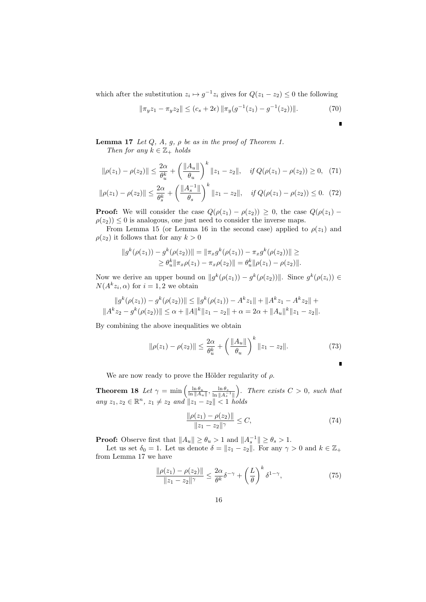which after the substitution  $z_i \mapsto g^{-1}z_i$  gives for  $Q(z_1 - z_2) \leq 0$  the following

$$
\|\pi_y z_1 - \pi_y z_2\| \le (c_s + 2\epsilon) \|\pi_y (g^{-1}(z_1) - g^{-1}(z_2))\|.
$$
 (70)

П

**Lemma 17** *Let*  $Q$ *,*  $A$ *,*  $g$ *,*  $\rho$  *be as in the proof of Theorem 1. Then for any*  $k \in \mathbb{Z}_+$  *holds* 

$$
\|\rho(z_1) - \rho(z_2)\| \le \frac{2\alpha}{\theta_u^k} + \left(\frac{\|A_u\|}{\theta_u}\right)^k \|z_1 - z_2\|, \quad \text{if } Q(\rho(z_1) - \rho(z_2)) \ge 0,\tag{71}
$$

$$
\|\rho(z_1) - \rho(z_2)\| \le \frac{2\alpha}{\theta_s^k} + \left(\frac{\|A_s^{-1}\|}{\theta_s}\right)^k \|z_1 - z_2\|, \quad \text{if } Q(\rho(z_1) - \rho(z_2)) \le 0. \tag{72}
$$

**Proof:** We will consider the case  $Q(\rho(z_1) - \rho(z_2)) \geq 0$ , the case  $Q(\rho(z_1) - \rho(z_2))$  $\rho(z_2)$ )  $\leq$  0 is analogous, one just need to consider the inverse maps.

From Lemma 15 (or Lemma 16 in the second case) applied to  $\rho(z_1)$  and  $\rho(z_2)$  it follows that for any  $k > 0$ 

$$
||g^{k}(\rho(z_1)) - g^{k}(\rho(z_2))|| = ||\pi_x g^{k}(\rho(z_1)) - \pi_x g^{k}(\rho(z_2))|| \ge
$$
  
\n
$$
\ge \theta_u^k ||\pi_x \rho(z_1) - \pi_x \rho(z_2)|| = \theta_u^k ||\rho(z_1) - \rho(z_2)||.
$$

Now we derive an upper bound on  $||g^k(\rho(z_1)) - g^k(\rho(z_2))||$ . Since  $g^k(\rho(z_i)) \in$  $N(A^k z_i, \alpha)$  for  $i = 1, 2$  we obtain

$$
||g^{k}(\rho(z_1)) - g^{k}(\rho(z_2))|| \le ||g^{k}(\rho(z_1)) - A^{k}z_1|| + ||A^{k}z_1 - A^{k}z_2|| + ||A^{k}z_2 - g^{k}(\rho(z_2))|| \le \alpha + ||A||^{k}||z_1 - z_2|| + \alpha = 2\alpha + ||A_{u}||^{k}||z_1 - z_2||.
$$

By combining the above inequalities we obtain

$$
\|\rho(z_1) - \rho(z_2)\| \le \frac{2\alpha}{\theta_u^k} + \left(\frac{\|A_u\|}{\theta_u}\right)^k \|z_1 - z_2\|.
$$
 (73)

$$
\qquad \qquad \blacksquare
$$

We are now ready to prove the Hölder regularity of  $\rho$ .

**Theorem 18** *Let*  $\gamma = \min\left(\frac{\ln \theta_u}{\ln \|A_u\|}, \frac{\ln \theta_s}{\ln \|A_s\|}\right)$ ln *∥A −*1 *s ∥* ). There exists  $C > 0$ , such that  $any \ z_1, z_2 \in \mathbb{R}^n, \ z_1 \neq z_2 \ and \ ||z_1 - z_2|| < 1 \ holds$ 

$$
\frac{\|\rho(z_1) - \rho(z_2)\|}{\|z_1 - z_2\|^\gamma} \le C,\tag{74}
$$

**Proof:** Observe first that  $||A_u|| \ge \theta_u > 1$  and  $||A_s^{-1}|| \ge \theta_s > 1$ .

Let us set  $\delta_0 = 1$ . Let us denote  $\delta = ||z_1 - z_2||$ . For any  $\gamma > 0$  and  $k \in \mathbb{Z}_+$ from Lemma 17 we have

$$
\frac{\|\rho(z_1) - \rho(z_2)\|}{\|z_1 - z_2\|^\gamma} \le \frac{2\alpha}{\theta^k} \delta^{-\gamma} + \left(\frac{L}{\theta}\right)^k \delta^{1-\gamma},\tag{75}
$$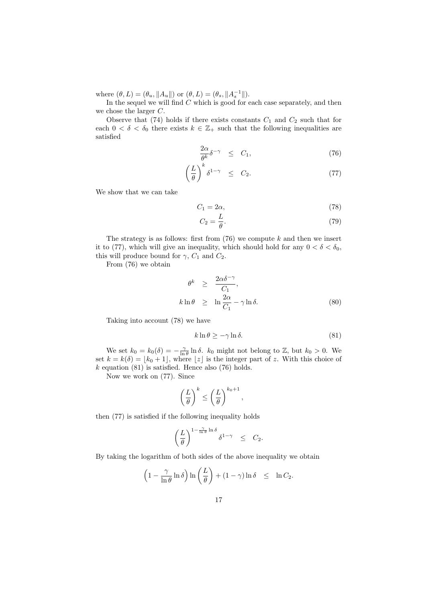where  $(\theta, L) = (\theta_u, ||A_u||)$  or  $(\theta, L) = (\theta_s, ||A_s^{-1}||)$ .

In the sequel we will find *C* which is good for each case separately, and then we chose the larger *C*.

Observe that  $(74)$  holds if there exists constants  $C_1$  and  $C_2$  such that for each  $0 < \delta < \delta_0$  there exists  $k \in \mathbb{Z}_+$  such that the following inequalities are satisfied

$$
\frac{2\alpha}{\theta^k} \delta^{-\gamma} \leq C_1,\tag{76}
$$

$$
\left(\frac{L}{\theta}\right)^k \delta^{1-\gamma} \leq C_2. \tag{77}
$$

We show that we can take

$$
C_1 = 2\alpha,\t\t(78)
$$

$$
C_2 = \frac{L}{\theta}.\tag{79}
$$

The strategy is as follows: first from (76) we compute *k* and then we insert it to (77), which will give an inequality, which should hold for any  $0 < \delta < \delta_0$ , this will produce bound for  $\gamma$ ,  $C_1$  and  $C_2$ .

From (76) we obtain

$$
\begin{array}{rcl}\n\theta^k & \geq & \frac{2\alpha\delta^{-\gamma}}{C_1}, \\
k\ln\theta & \geq & \ln\frac{2\alpha}{C_1} - \gamma\ln\delta.\n\end{array} \tag{80}
$$

Taking into account (78) we have

$$
k \ln \theta \ge -\gamma \ln \delta. \tag{81}
$$

We set  $k_0 = k_0(\delta) = -\frac{\gamma}{\ln \theta} \ln \delta$ .  $k_0$  might not belong to Z, but  $k_0 > 0$ . We set  $k = k(\delta) = \lfloor k_0 + 1 \rfloor$ , where  $\lfloor z \rfloor$  is the integer part of *z*. With this choice of  $k$  equation  $(81)$  is satisfied. Hence also  $(76)$  holds.

Now we work on (77). Since

$$
\left(\frac{L}{\theta}\right)^k \leq \left(\frac{L}{\theta}\right)^{k_0+1},
$$

then (77) is satisfied if the following inequality holds

$$
\left(\frac{L}{\theta}\right)^{1-\frac{\gamma}{\ln\theta}\ln\delta}\delta^{1-\gamma} \quad \leq \quad C_2.
$$

By taking the logarithm of both sides of the above inequality we obtain

$$
\left(1 - \frac{\gamma}{\ln \theta} \ln \delta\right) \ln \left(\frac{L}{\theta}\right) + (1 - \gamma) \ln \delta \leq \ln C_2.
$$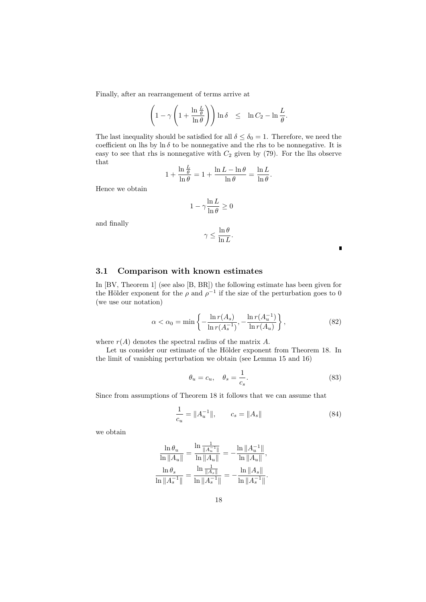Finally, after an rearrangement of terms arrive at

$$
\left(1 - \gamma \left(1 + \frac{\ln \frac{L}{\theta}}{\ln \theta}\right)\right) \ln \delta \leq \ln C_2 - \ln \frac{L}{\theta}.
$$

The last inequality should be satisfied for all  $\delta \leq \delta_0 = 1$ . Therefore, we need the coefficient on lhs by ln  $\delta$  to be nonnegative and the rhs to be nonnegative. It is easy to see that rhs is nonnegative with  $C_2$  given by  $(79)$ . For the lhs observe that

$$
1 + \frac{\ln \frac{L}{\theta}}{\ln \theta} = 1 + \frac{\ln L - \ln \theta}{\ln \theta} = \frac{\ln L}{\ln \theta}.
$$

Hence we obtain

$$
1-\gamma\frac{\ln L}{\ln\theta}\geq 0
$$

and finally

$$
\gamma \leq \frac{\ln \theta}{\ln L}.
$$

## **3.1 Comparison with known estimates**

In [BV, Theorem 1] (see also [B, BR]) the following estimate has been given for the Hölder exponent for the  $\rho$  and  $\rho^{-1}$  if the size of the perturbation goes to 0 (we use our notation)

$$
\alpha < \alpha_0 = \min\left\{-\frac{\ln r(A_s)}{\ln r(A_s^{-1})}, -\frac{\ln r(A_u^{-1})}{\ln r(A_u)}\right\},\tag{82}
$$

where  $r(A)$  denotes the spectral radius of the matrix  $A$ .

Let us consider our estimate of the Hölder exponent from Theorem 18. In the limit of vanishing perturbation we obtain (see Lemma 15 and 16)

$$
\theta_u = c_u, \quad \theta_s = \frac{1}{c_s}.\tag{83}
$$

П

Since from assumptions of Theorem 18 it follows that we can assume that

$$
\frac{1}{c_u} = \|A_u^{-1}\|, \qquad c_s = \|A_s\| \tag{84}
$$

we obtain

$$
\frac{\ln \theta_u}{\ln \|A_u\|} = \frac{\ln \frac{1}{\|A_u^{-1}\|}}{\ln \|A_u\|} = -\frac{\ln \|A_u^{-1}\|}{\ln \|A_u\|},
$$
  

$$
\frac{\ln \theta_s}{\ln \|A_s^{-1}\|} = \frac{\ln \frac{1}{\|A_s\|}}{\ln \|A_s^{-1}\|} = -\frac{\ln \|A_s\|}{\ln \|A_s^{-1}\|}.
$$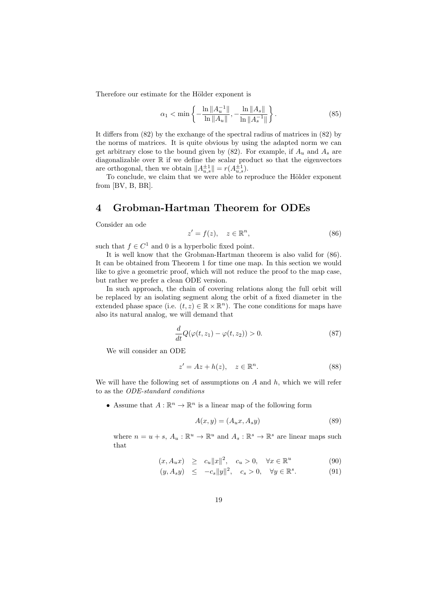Therefore our estimate for the Hölder exponent is

$$
\alpha_1 < \min\left\{ -\frac{\ln \|A_u^{-1}\|}{\ln \|A_u\|}, -\frac{\ln \|A_s\|}{\ln \|A_s^{-1}\|} \right\}. \tag{85}
$$

It differs from (82) by the exchange of the spectral radius of matrices in (82) by the norms of matrices. It is quite obvious by using the adapted norm we can get arbitrary close to the bound given by  $(82)$ . For example, if  $A_u$  and  $A_s$  are diagonalizable over R if we define the scalar product so that the eigenvectors are orthogonal, then we obtain  $||A_{u,s}^{\pm 1}|| = r(A_{u,s}^{\pm 1}).$ 

To conclude, we claim that we were able to reproduce the Hölder exponent from [BV, B, BR].

# **4 Grobman-Hartman Theorem for ODEs**

Consider an ode

$$
z' = f(z), \quad z \in \mathbb{R}^n,\tag{86}
$$

such that  $f \in C^1$  and 0 is a hyperbolic fixed point.

It is well know that the Grobman-Hartman theorem is also valid for (86). It can be obtained from Theorem 1 for time one map. In this section we would like to give a geometric proof, which will not reduce the proof to the map case, but rather we prefer a clean ODE version.

In such approach, the chain of covering relations along the full orbit will be replaced by an isolating segment along the orbit of a fixed diameter in the extended phase space (i.e.  $(t, z) \in \mathbb{R} \times \mathbb{R}^n$ ). The cone conditions for maps have also its natural analog, we will demand that

$$
\frac{d}{dt}Q(\varphi(t,z_1) - \varphi(t,z_2)) > 0.
$$
\n(87)

We will consider an ODE

$$
z' = Az + h(z), \quad z \in \mathbb{R}^n. \tag{88}
$$

We will have the following set of assumptions on *A* and *h*, which we will refer to as the *ODE-standard conditions*

• Assume that  $A: \mathbb{R}^n \to \mathbb{R}^n$  is a linear map of the following form

$$
A(x,y) = (A_u x, A_s y) \tag{89}
$$

where  $n = u + s$ ,  $A_u : \mathbb{R}^u \to \mathbb{R}^u$  and  $A_s : \mathbb{R}^s \to \mathbb{R}^s$  are linear maps such that

$$
(x, A_u x) \ge c_u \|x\|^2, \quad c_u > 0, \quad \forall x \in \mathbb{R}^u \tag{90}
$$

$$
(y, A_s y) \le -c_s \|y\|^2, \quad c_s > 0, \quad \forall y \in \mathbb{R}^s. \tag{91}
$$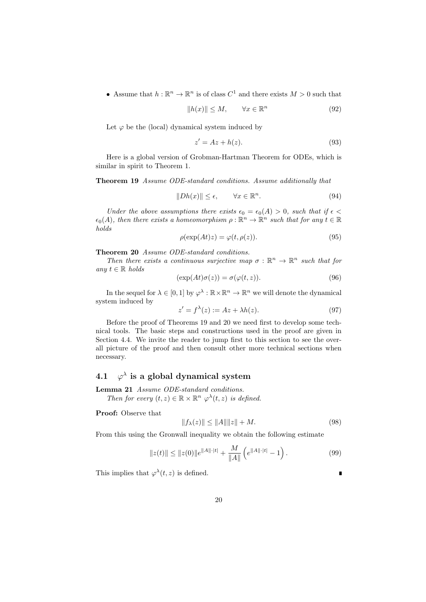• Assume that  $h: \mathbb{R}^n \to \mathbb{R}^n$  is of class  $C^1$  and there exists  $M > 0$  such that

$$
||h(x)|| \le M, \qquad \forall x \in \mathbb{R}^n \tag{92}
$$

Let  $\varphi$  be the (local) dynamical system induced by

$$
z' = Az + h(z). \tag{93}
$$

Here is a global version of Grobman-Hartman Theorem for ODEs, which is similar in spirit to Theorem 1.

**Theorem 19** *Assume ODE-standard conditions. Assume additionally that*

$$
||Dh(x)|| \le \epsilon, \qquad \forall x \in \mathbb{R}^n. \tag{94}
$$

*Under the above assumptions there exists*  $\epsilon_0 = \epsilon_0(A) > 0$ *, such that if*  $\epsilon$  <  $\epsilon_0(A)$ , then there exists a homeomorphism  $\rho : \mathbb{R}^n \to \mathbb{R}^n$  such that for any  $t \in \mathbb{R}$ *holds*

$$
\rho(\exp(At)z) = \varphi(t, \rho(z)).\tag{95}
$$

**Theorem 20** *Assume ODE-standard conditions.*

*Then there exists a continuous surjective map*  $\sigma : \mathbb{R}^n \to \mathbb{R}^n$  *such that for*  $any t ∈ ℝ holds$ 

$$
(\exp(At)\sigma(z)) = \sigma(\varphi(t,z)).\tag{96}
$$

In the sequel for  $\lambda \in [0,1]$  by  $\varphi^{\lambda} : \mathbb{R} \times \mathbb{R}^n \to \mathbb{R}^n$  we will denote the dynamical system induced by

$$
z' = f^{\lambda}(z) := Az + \lambda h(z). \tag{97}
$$

Before the proof of Theorems 19 and 20 we need first to develop some technical tools. The basic steps and constructions used in the proof are given in Section 4.4. We invite the reader to jump first to this section to see the overall picture of the proof and then consult other more technical sections when necessary.

#### **4.1** *φ λ* **is a global dynamical system**

**Lemma 21** *Assume ODE-standard conditions.*

*Then for every*  $(t, z) \in \mathbb{R} \times \mathbb{R}^n$   $\varphi^{\lambda}(t, z)$  *is defined.* 

**Proof:** Observe that

$$
||f_{\lambda}(z)|| \le ||A|| ||z|| + M.
$$
 (98)

ī

From this using the Gronwall inequality we obtain the following estimate

$$
||z(t)|| \le ||z(0)||e^{||A|| \cdot |t|} + \frac{M}{||A||} \left(e^{||A|| \cdot |t|} - 1\right).
$$
 (99)

This implies that  $\varphi^{\lambda}(t, z)$  is defined.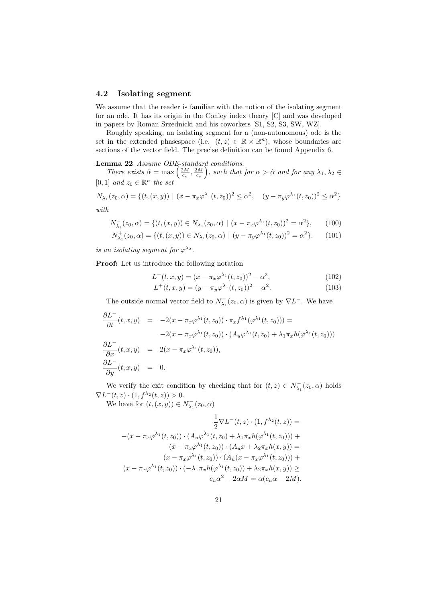### **4.2 Isolating segment**

We assume that the reader is familiar with the notion of the isolating segment for an ode. It has its origin in the Conley index theory [C] and was developed in papers by Roman Srzednicki and his coworkers [S1, S2, S3, SW, WZ].

Roughly speaking, an isolating segment for a (non-autonomous) ode is the set in the extended phasespace (i.e.  $(t, z) \in \mathbb{R} \times \mathbb{R}^n$ ), whose boundaries are sections of the vector field. The precise definition can be found Appendix 6.

**Lemma 22** *Assume ODE-standard conditions.*<br> *There exists*  $\hat{\alpha} = \max\left(\frac{2M}{c_u}, \frac{2M}{c_s}\right)$ , such that  $\hat{\theta}$ , such that for  $\alpha > \hat{\alpha}$  and for any  $\lambda_1, \lambda_2 \in$  $[0, 1]$  *and*  $z_0 \in \mathbb{R}^n$  *the set* 

$$
N_{\lambda_1}(z_0, \alpha) = \{ (t, (x, y)) \mid (x - \pi_x \varphi^{\lambda_1}(t, z_0))^2 \le \alpha^2, \quad (y - \pi_y \varphi^{\lambda_1}(t, z_0))^2 \le \alpha^2 \}
$$

*with*

$$
N_{\lambda_1}^-(z_0, \alpha) = \{ (t, (x, y)) \in N_{\lambda_1}(z_0, \alpha) \mid (x - \pi_x \varphi^{\lambda_1}(t, z_0))^2 = \alpha^2 \},\qquad(100)
$$

$$
N_{\lambda_1}^+(z_0, \alpha) = \{ (t, (x, y)) \in N_{\lambda_1}(z_0, \alpha) \mid (y - \pi_y \varphi^{\lambda_1}(t, z_0))^2 = \alpha^2 \}. \tag{101}
$$

*is an isolating segment for*  $\varphi^{\lambda_2}$ .

**Proof:** Let us introduce the following notation

$$
L^{-}(t, x, y) = (x - \pi_x \varphi^{\lambda_1}(t, z_0))^2 - \alpha^2,
$$
\n(102)

$$
L^{+}(t, x, y) = (y - \pi_{y} \varphi^{\lambda_{1}}(t, z_{0}))^{2} - \alpha^{2}.
$$
 (103)

The outside normal vector field to  $N_{\lambda_1}^-(z_0, \alpha)$  is given by  $\nabla L^-$ . We have

$$
\frac{\partial L^{-}}{\partial t}(t, x, y) = -2(x - \pi_x \varphi^{\lambda_1}(t, z_0)) \cdot \pi_x f^{\lambda_1}(\varphi^{\lambda_1}(t, z_0))) =
$$
  
\n
$$
-2(x - \pi_x \varphi^{\lambda_1}(t, z_0)) \cdot (A_u \varphi^{\lambda_1}(t, z_0) + \lambda_1 \pi_x h(\varphi^{\lambda_1}(t, z_0)))
$$
  
\n
$$
\frac{\partial L^{-}}{\partial x}(t, x, y) = 2(x - \pi_x \varphi^{\lambda_1}(t, z_0)),
$$
  
\n
$$
\frac{\partial L^{-}}{\partial y}(t, x, y) = 0.
$$

We verify the exit condition by checking that for  $(t, z) \in N_{\lambda_1}^-(z_0, \alpha)$  holds  $\nabla L^{-}(t, z) \cdot (1, f^{\lambda_2}(t, z)) > 0.$ 

We have for  $(t, (x, y)) \in N_{\lambda_1}^-(z_0, \alpha)$ 

$$
\frac{1}{2}\nabla L^-(t,z)\cdot(1,f^{\lambda_2}(t,z)) =
$$
  
-(x -  $\pi_x\varphi^{\lambda_1}(t,z_0))\cdot(A_u\varphi^{\lambda_1}(t,z_0) + \lambda_1\pi_xh(\varphi^{\lambda_1}(t,z_0))) +$   

$$
(x - \pi_x\varphi^{\lambda_1}(t,z_0))\cdot(A_ux + \lambda_2\pi_xh(x,y)) =
$$
  

$$
(x - \pi_x\varphi^{\lambda_1}(t,z_0))\cdot(A_u(x - \pi_x\varphi^{\lambda_1}(t,z_0))) +
$$
  

$$
(x - \pi_x\varphi^{\lambda_1}(t,z_0))\cdot(-\lambda_1\pi_xh(\varphi^{\lambda_1}(t,z_0)) + \lambda_2\pi_xh(x,y)) \ge
$$
  

$$
c_u\alpha^2 - 2\alpha M = \alpha(c_u\alpha - 2M).
$$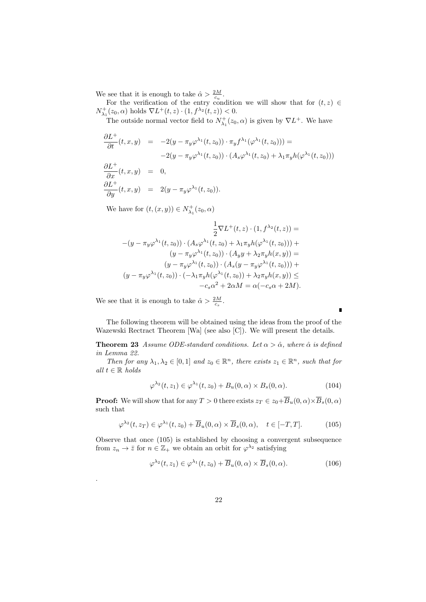We see that it is enough to take  $\hat{\alpha} > \frac{2M}{c_u}$ .

For the verification of the entry condition we will show that for  $(t, z) \in$  $N^+_{\lambda_1}(z_0, \alpha)$  holds  $\nabla L^+(t, z) \cdot (1, f^{\lambda_2}(t, z)) < 0.$ 

The outside normal vector field to  $N^+_{\lambda_1}(z_0, \alpha)$  is given by  $\nabla L^+$ . We have

$$
\frac{\partial L^+}{\partial t}(t, x, y) = -2(y - \pi_y \varphi^{\lambda_1}(t, z_0)) \cdot \pi_y f^{\lambda_1}(\varphi^{\lambda_1}(t, z_0))) =
$$
  
\n
$$
-2(y - \pi_y \varphi^{\lambda_1}(t, z_0)) \cdot (A_s \varphi^{\lambda_1}(t, z_0) + \lambda_1 \pi_y h(\varphi^{\lambda_1}(t, z_0)))
$$
  
\n
$$
\frac{\partial L^+}{\partial x}(t, x, y) = 0,
$$
  
\n
$$
\frac{\partial L^+}{\partial y}(t, x, y) = 2(y - \pi_y \varphi^{\lambda_1}(t, z_0)).
$$

We have for  $(t, (x, y)) \in N_{\lambda_1}^+(z_0, \alpha)$ 

$$
\frac{1}{2}\nabla L^+(t,z)\cdot(1,f^{\lambda_2}(t,z)) =
$$
  
-(y -  $\pi_y\varphi^{\lambda_1}(t,z_0))\cdot(A_s\varphi^{\lambda_1}(t,z_0) + \lambda_1\pi_yh(\varphi^{\lambda_1}(t,z_0))) +$   

$$
(y - \pi_y\varphi^{\lambda_1}(t,z_0))\cdot(A_yy + \lambda_2\pi_yh(x,y)) =
$$
  

$$
(y - \pi_y\varphi^{\lambda_1}(t,z_0))\cdot(A_s(y - \pi_y\varphi^{\lambda_1}(t,z_0))) +
$$
  

$$
(y - \pi_y\varphi^{\lambda_1}(t,z_0))\cdot(-\lambda_1\pi_yh(\varphi^{\lambda_1}(t,z_0)) + \lambda_2\pi_yh(x,y)) \le
$$
  

$$
-c_s\alpha^2 + 2\alpha M = \alpha(-c_s\alpha + 2M).
$$

We see that it is enough to take  $\hat{\alpha} > \frac{2M}{c_s}$ .

.

The following theorem will be obtained using the ideas from the proof of the Wazewski Rectract Theorem [Wa] (see also [C]). We will present the details.

**Theorem 23** *Assume ODE-standard conditions. Let*  $\alpha > \hat{\alpha}$ *, where*  $\hat{\alpha}$  *is defined in Lemma 22.*

*Then for any*  $\lambda_1, \lambda_2 \in [0,1]$  *and*  $z_0 \in \mathbb{R}^n$ *, there exists*  $z_1 \in \mathbb{R}^n$ *, such that for*  $all t ∈ ℝ holds$ 

$$
\varphi^{\lambda_2}(t, z_1) \in \varphi^{\lambda_1}(t, z_0) + B_u(0, \alpha) \times B_s(0, \alpha).
$$
 (104)

 $\blacksquare$ 

**Proof:** We will show that for any  $T > 0$  there exists  $z_T \in z_0 + \overline{B}_u(0, \alpha) \times \overline{B}_s(0, \alpha)$ such that

$$
\varphi^{\lambda_2}(t, z_T) \in \varphi^{\lambda_1}(t, z_0) + \overline{B}_u(0, \alpha) \times \overline{B}_s(0, \alpha), \quad t \in [-T, T]. \tag{105}
$$

Observe that once (105) is established by choosing a convergent subsequence from  $z_n \to \overline{z}$  for  $n \in \mathbb{Z}_+$  we obtain an orbit for  $\varphi^{\lambda_2}$  satisfying

$$
\varphi^{\lambda_2}(t, z_1) \in \varphi^{\lambda_1}(t, z_0) + \overline{B}_u(0, \alpha) \times \overline{B}_s(0, \alpha).
$$
 (106)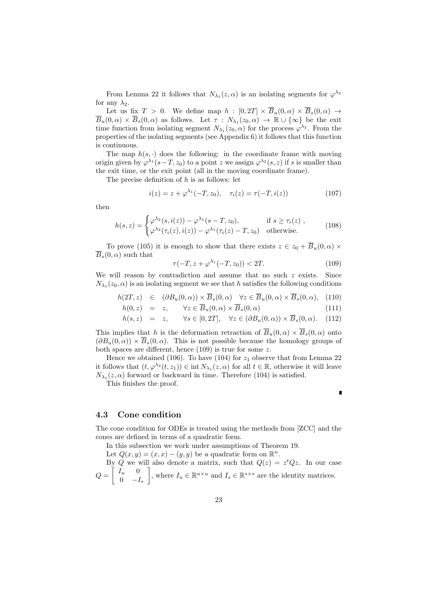From Lemma 22 it follows that  $N_{\lambda_1}(z,\alpha)$  is an isolating segments for  $\varphi^{\lambda_2}$ for any  $\lambda_2$ .

Let us fix  $T > 0$ . We define map  $h : [0, 2T] \times \overline{B}_u(0, \alpha) \times \overline{B}_s(0, \alpha) \rightarrow$  $B_u(0, \alpha) \times B_s(0, \alpha)$  as follows. Let  $\tau : N_{\lambda_1}(z_0, \alpha) \to \mathbb{R} \cup {\infty}$  be the exit time function from isolating segment  $N_{\lambda_1}(z_0, \alpha)$  for the process  $\varphi^{\lambda_2}$ . From the properties of the isolating segments (see Appendix 6) it follows that this function is continuous.

The map  $h(s, \cdot)$  does the following: in the coordinate frame with moving origin given by  $\varphi^{\lambda_1}(s-T, z_0)$  to a point *z* we assign  $\varphi^{\lambda_2}(s, z)$  if *s* is smaller than the exit time, or the exit point (all in the moving coordinate frame).

The precise definition of *h* is as follows: let

$$
i(z) = z + \varphi^{\lambda_1}(-T, z_0), \quad \tau_i(z) = \tau(-T, i(z)) \tag{107}
$$

then

$$
h(s,z) = \begin{cases} \varphi^{\lambda_2}(s,i(z)) - \varphi^{\lambda_1}(s-T,z_0), & \text{if } s \ge \tau_i(z) \\ \varphi^{\lambda_2}(\tau_i(z),i(z)) - \varphi^{\lambda_1}(\tau_i(z)-T,z_0) & \text{otherwise.} \end{cases} \tag{108}
$$

To prove (105) it is enough to show that there exists  $z \in z_0 + \overline{B}_u(0, \alpha) \times$  $\overline{B}_s(0,\alpha)$  such that

$$
\tau(-T, z + \varphi^{\lambda_1}(-T, z_0)) < 2T. \tag{109}
$$

П

We will reason by contradiction and assume that no such *z* exists. Since  $N_{\lambda_1}(z_0, \alpha)$  is an isolating segment we see that *h* satisfies the following conditions

$$
h(2T, z) \in (\partial B_u(0, \alpha)) \times \overline{B}_s(0, \alpha) \quad \forall z \in \overline{B}_u(0, \alpha) \times \overline{B}_s(0, \alpha), \quad (110)
$$

$$
h(0, z) = z, \quad \forall z \in B_u(0, \alpha) \times B_s(0, \alpha) \tag{111}
$$

$$
h(s, z) = z, \quad \forall s \in [0, 2T], \quad \forall z \in (\partial B_u(0, \alpha)) \times B_s(0, \alpha). \quad (112)
$$

This implies that *h* is the deformation retraction of  $\overline{B}_u(0, \alpha) \times \overline{B}_s(0, \alpha)$  onto  $(\partial B_u(0, \alpha)) \times \overline{B}_s(0, \alpha)$ . This is not possible because the homology groups of both spaces are different, hence (109) is true for some *z*.

Hence we obtained (106). To have (104) for  $z_1$  observe that from Lemma 22 it follows that  $(t, \varphi^{\lambda_2}(t, z_1)) \in \text{int } N_{\lambda_1}(z, \alpha)$  for all  $t \in \mathbb{R}$ , otherwise it will leave  $N_{\lambda_1}(z,\alpha)$  forward or backward in time. Therefore (104) is satisfied.

This finishes the proof.

## **4.3 Cone condition**

The cone condition for ODEs is treated using the methods from [ZCC] and the cones are defined in terms of a quadratic form.

In this subsection we work under assumptions of Theorem 19.

Let  $Q(x, y) = (x, x) - (y, y)$  be a quadratic form on  $\mathbb{R}^n$ .

By *Q* we will also denote a matrix, such that  $Q(z) = z^t Q z$ . In our case  $Q =$  $\int I_u = 0$ 0 *−I<sup>s</sup>* ] , where  $I_u \in \mathbb{R}^{u \times u}$  and  $I_s \in \mathbb{R}^{s \times s}$  are the identity matrices.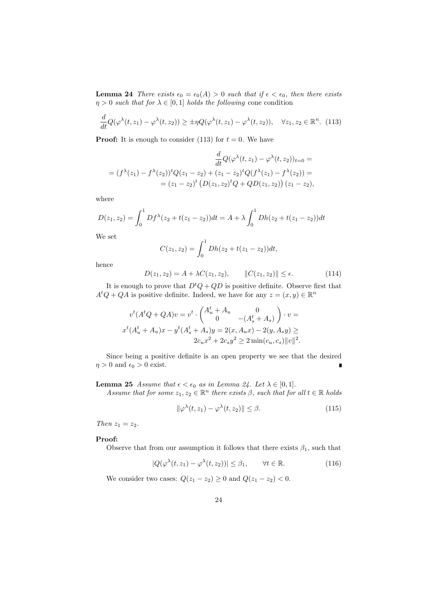**Lemma 24** *There exists*  $\epsilon_0 = \epsilon_0(A) > 0$  *such that if*  $\epsilon < \epsilon_0$ *, then there exists η* > 0 *such that for*  $\lambda \in [0,1]$  *holds the following* cone condition

$$
\frac{d}{dt}Q(\varphi^{\lambda}(t,z_1) - \varphi^{\lambda}(t,z_2)) \ge \pm \eta Q(\varphi^{\lambda}(t,z_1) - \varphi^{\lambda}(t,z_2)), \quad \forall z_1, z_2 \in \mathbb{R}^n. (113)
$$

**Proof:** It is enough to consider (113) for  $t = 0$ . We have

$$
\frac{d}{dt}Q(\varphi^{\lambda}(t,z_{1}) - \varphi^{\lambda}(t,z_{2}))_{t=0} =
$$
\n
$$
= (f^{\lambda}(z_{1}) - f^{\lambda}(z_{2}))^{t}Q(z_{1} - z_{2}) + (z_{1} - z_{2})^{t}Q(f^{\lambda}(z_{1}) - f^{\lambda}(z_{2})) =
$$
\n
$$
= (z_{1} - z_{2})^{t} (D(z_{1}, z_{2})^{t}Q + QD(z_{1}, z_{2})) (z_{1} - z_{2}),
$$

where

$$
D(z_1, z_2) = \int_0^1 Df^{\lambda}(z_2 + t(z_1 - z_2))dt = A + \lambda \int_0^1 Dh(z_2 + t(z_1 - z_2))dt
$$

We set

$$
C(z_1, z_2) = \int_0^1 Dh(z_2 + t(z_1 - z_2))dt,
$$

hence

$$
D(z_1, z_2) = A + \lambda C(z_1, z_2), \qquad ||C(z_1, z_2)|| \le \epsilon.
$$
 (114)

It is enough to prove that  $D^tQ + QD$  is positive definite. Observe first that  $A<sup>t</sup>Q + QA$  is positive definite. Indeed, we have for any  $z = (x, y) \in \mathbb{R}^n$ 

$$
v^{t}(A^{t}Q + QA)v = v^{t} \cdot \begin{pmatrix} A_{u}^{t} + A_{u} & 0 \\ 0 & -(A_{s}^{t} + A_{s}) \end{pmatrix} \cdot v =
$$
  

$$
x^{t}(A_{u}^{t} + A_{u})x - y^{t}(A_{s}^{t} + A_{s})y = 2(x, A_{u}x) - 2(y, A_{s}y) \ge
$$
  

$$
2c_{u}x^{2} + 2c_{s}y^{2} \ge 2 \min(c_{u}, c_{s})||v||^{2}.
$$

Since being a positive definite is an open property we see that the desired  $\eta > 0$  and  $\epsilon_0 > 0$  exist. ī

#### **Lemma 25** *Assume that*  $\epsilon < \epsilon_0$  *as in Lemma 24. Let*  $\lambda \in [0,1]$ *.*

*Assume that for some*  $z_1, z_2 \in \mathbb{R}^n$  *there exists*  $\beta$ *, such that for all*  $t \in \mathbb{R}$  *holds* 

$$
\|\varphi^{\lambda}(t, z_1) - \varphi^{\lambda}(t, z_2)\| \le \beta. \tag{115}
$$

*Then*  $z_1 = z_2$ *.* 

#### **Proof:**

Observe that from our assumption it follows that there exists  $\beta_1$ , such that

$$
|Q(\varphi^{\lambda}(t,z_1) - \varphi^{\lambda}(t,z_2))| \leq \beta_1, \qquad \forall t \in \mathbb{R}.
$$
 (116)

We consider two cases:  $Q(z_1 - z_2) \ge 0$  and  $Q(z_1 - z_2) < 0$ .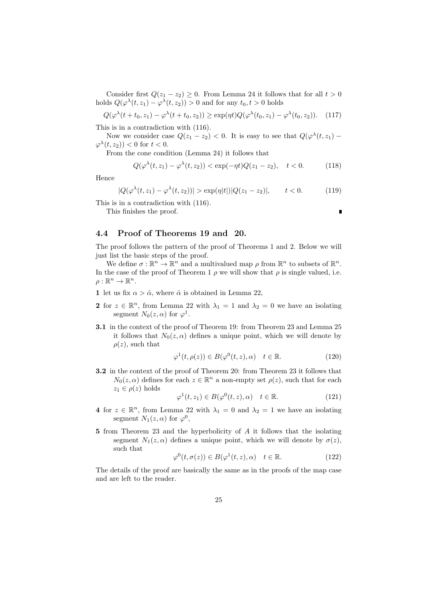Consider first  $Q(z_1 - z_2) \geq 0$ . From Lemma 24 it follows that for all  $t > 0$ holds  $Q(\varphi^{\lambda}(t, z_1) - \varphi^{\lambda}(t, z_2)) > 0$  and for any  $t_0, t > 0$  holds

$$
Q(\varphi^{\lambda}(t+t_0, z_1) - \varphi^{\lambda}(t+t_0, z_2)) \ge \exp(\eta t)Q(\varphi^{\lambda}(t_0, z_1) - \varphi^{\lambda}(t_0, z_2)). \tag{117}
$$

This is in a contradiction with (116).

Now we consider case  $Q(z_1 - z_2) < 0$ . It is easy to see that  $Q(\varphi^{\lambda}(t, z_1) \varphi^{\lambda}(t, z_2)$ ) < 0 for  $t < 0$ .

From the cone condition (Lemma 24) it follows that

$$
Q(\varphi^{\lambda}(t, z_1) - \varphi^{\lambda}(t, z_2)) < \exp(-\eta t)Q(z_1 - z_2), \quad t < 0. \tag{118}
$$

п

Hence

$$
|Q(\varphi^{\lambda}(t, z_1) - \varphi^{\lambda}(t, z_2))| > \exp(\eta|t|)|Q(z_1 - z_2)|, \qquad t < 0.
$$
 (119)

This is in a contradiction with (116).

This finishes the proof.

## **4.4 Proof of Theorems 19 and 20.**

The proof follows the pattern of the proof of Theorems 1 and 2. Below we will just list the basic steps of the proof.

We define  $\sigma : \mathbb{R}^n \to \mathbb{R}^n$  and a multivalued map  $\rho$  from  $\mathbb{R}^n$  to subsets of  $\mathbb{R}^n$ . In the case of the proof of Theorem 1  $\rho$  we will show that  $\rho$  is single valued, i.e.  $\rho:\mathbb{R}^n\to\mathbb{R}^n$ .

- **1** let us fix  $\alpha > \hat{\alpha}$ , where  $\hat{\alpha}$  is obtained in Lemma 22,
- **2** for  $z \in \mathbb{R}^n$ , from Lemma 22 with  $\lambda_1 = 1$  and  $\lambda_2 = 0$  we have an isolating segment  $N_0(z,\alpha)$  for  $\varphi^1$ .
- **3.1** in the context of the proof of Theorem 19: from Theorem 23 and Lemma 25 it follows that  $N_0(z,\alpha)$  defines a unique point, which we will denote by  $\rho(z)$ , such that

$$
\varphi^1(t, \rho(z)) \in B(\varphi^0(t, z), \alpha) \quad t \in \mathbb{R}.\tag{120}
$$

**3.2** in the context of the proof of Theorem 20: from Theorem 23 it follows that  $N_0(z, \alpha)$  defines for each  $z \in \mathbb{R}^n$  a non-empty set  $\rho(z)$ , such that for each  $z_1 \in \rho(z)$  holds

$$
\varphi^1(t, z_1) \in B(\varphi^0(t, z), \alpha) \quad t \in \mathbb{R}.\tag{121}
$$

- **4** for  $z \in \mathbb{R}^n$ , from Lemma 22 with  $\lambda_1 = 0$  and  $\lambda_2 = 1$  we have an isolating segment  $N_1(z,\alpha)$  for  $\varphi^0$ ,
- **5** from Theorem 23 and the hyperbolicity of *A* it follows that the isolating segment  $N_1(z, \alpha)$  defines a unique point, which we will denote by  $\sigma(z)$ , such that

$$
\varphi^{0}(t,\sigma(z)) \in B(\varphi^{1}(t,z),\alpha) \quad t \in \mathbb{R}.
$$
 (122)

The details of the proof are basically the same as in the proofs of the map case and are left to the reader.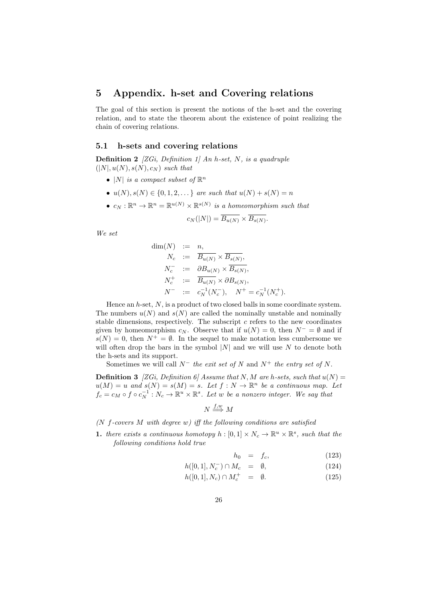# **5 Appendix. h-set and Covering relations**

The goal of this section is present the notions of the h-set and the covering relation, and to state the theorem about the existence of point realizing the chain of covering relations.

#### **5.1 h-sets and covering relations**

**Definition 2** *[ZGi, Definition 1] An h-set, N, is a quadruple*  $(|N|, u(N), s(N), c_N)$  *such that* 

- $|N|$  *is a compact subset of*  $\mathbb{R}^n$
- *•*  $u(N), s(N) \in \{0, 1, 2, \ldots\}$  *are such that*  $u(N) + s(N) = n$
- $c_N : \mathbb{R}^n \to \mathbb{R}^n = \mathbb{R}^{u(N)} \times \mathbb{R}^{s(N)}$  *is a homeomorphism such that*

$$
c_N(|N|) = \overline{B_{u(N)}} \times \overline{B_{s(N)}}.
$$

*We set*

$$
\dim(N) := n,
$$
  
\n
$$
N_c := \overline{B_{u(N)}} \times \overline{B_{s(N)}},
$$
  
\n
$$
N_c^- := \partial B_{u(N)} \times \overline{B_{s(N)}},
$$
  
\n
$$
N_c^+ := \overline{B_{u(N)}} \times \partial B_{s(N)},
$$
  
\n
$$
N^- := c_N^{-1}(N_c^-), \quad N^+ = c_N^{-1}(N_c^+).
$$

Hence an *h*-set, *N*, is a product of two closed balls in some coordinate system. The numbers  $u(N)$  and  $s(N)$  are called the nominally unstable and nominally stable dimensions, respectively. The subscript *c* refers to the new coordinates given by homeomorphism  $c_N$ . Observe that if  $u(N) = 0$ , then  $N^- = \emptyset$  and if  $s(N) = 0$ , then  $N^+ = \emptyset$ . In the sequel to make notation less cumbersome we will often drop the bars in the symbol  $|N|$  and we will use  $N$  to denote both the h-sets and its support.

Sometimes we will call  $N^-$  *the exit set of*  $N$  and  $N^+$  *the entry set of*  $N$ .

**Definition 3** *[ZGi, Definition 6] Assume that*  $N, M$  *are h-sets, such that*  $u(N)$  =  $u(M) = u$  and  $s(N) = s(M) = s$ . Let  $f : N \to \mathbb{R}^n$  be a continuous map. Let  $f_c = c_M \circ f \circ c_N^{-1}: N_c \to \mathbb{R}^u \times \mathbb{R}^s$ . Let *w* be a nonzero integer. We say that

$$
N \stackrel{f,w}{\Longrightarrow} M
$$

*(N f-covers M with degree w) iff the following conditions are satisfied*

**1.** *there exists a continuous homotopy*  $h : [0,1] \times N_c \to \mathbb{R}^u \times \mathbb{R}^s$ , such that the *following conditions hold true*

$$
h_0 = f_c, \tag{123}
$$

$$
h([0,1], N_c^-) \cap M_c = \emptyset, \qquad (124)
$$

$$
h([0,1], N_c) \cap M_c^+ = \emptyset. \tag{125}
$$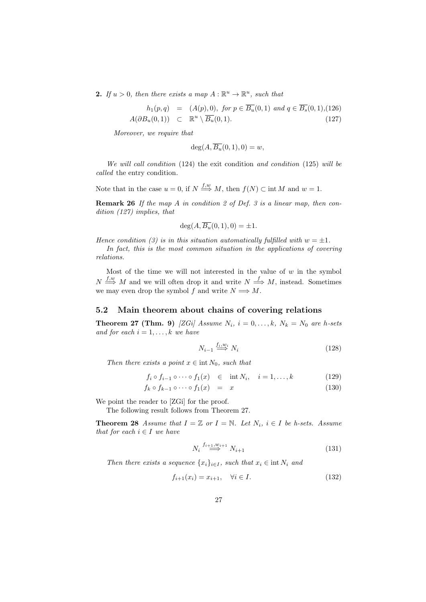**2.** *If*  $u > 0$ *, then there exists a map*  $A : \mathbb{R}^u \to \mathbb{R}^u$ *, such that* 

$$
h_1(p,q) = (A(p), 0), \text{ for } p \in \overline{B_u}(0,1) \text{ and } q \in \overline{B_s}(0,1), (126)
$$
  

$$
A(\partial B_u(0,1)) \subset \mathbb{R}^u \setminus \overline{B_u}(0,1). \tag{127}
$$

*Moreover, we require that*

$$
\deg(A, \overline{B_u}(0,1), 0) = w,
$$

*We will call condition* (124) the exit condition *and condition* (125) *will be called* the entry condition*.*

Note that in the case  $u = 0$ , if  $N \stackrel{f,w}{\Longrightarrow} M$ , then  $f(N) \subset \text{int } M$  and  $w = 1$ .

**Remark 26** *If the map A in condition 2 of Def. 3 is a linear map, then condition (127) implies, that*

$$
\deg(A, \overline{B_u}(0,1), 0) = \pm 1.
$$

*Hence condition (3) is in this situation automatically fulfilled with*  $w = \pm 1$ . *In fact, this is the most common situation in the applications of covering relations.*

Most of the time we will not interested in the value of *w* in the symbol  $N \stackrel{f,w}{\Longrightarrow} M$  and we will often drop it and write  $N \stackrel{f}{\Longrightarrow} M$ , instead. Sometimes we may even drop the symbol  $f$  and write  $N \Longrightarrow M$ .

## **5.2 Main theorem about chains of covering relations**

**Theorem 27 (Thm. 9)** *[ZGi] Assume*  $N_i$ ,  $i = 0, \ldots, k$ ,  $N_k = N_0$  *are h-sets and for each*  $i = 1, \ldots, k$  *we have* 

$$
N_{i-1} \stackrel{f_i, w_i}{\Longrightarrow} N_i \tag{128}
$$

*Then there exists a point*  $x \in \text{int } N_0$ *, such that* 

$$
f_i \circ f_{i-1} \circ \cdots \circ f_1(x) \quad \in \quad \text{int } N_i, \quad i = 1, \dots, k \tag{129}
$$

$$
f_k \circ f_{k-1} \circ \cdots \circ f_1(x) = x \tag{130}
$$

We point the reader to [ZGi] for the proof.

The following result follows from Theorem 27.

**Theorem 28** *Assume that*  $I = \mathbb{Z}$  *or*  $I = \mathbb{N}$ *. Let*  $N_i$ *,*  $i \in I$  *be h-sets. Assume that for each*  $i \in I$  *we have* 

$$
N_i \stackrel{f_{i+1}, w_{i+1}}{\Longrightarrow} N_{i+1} \tag{131}
$$

*Then there exists a sequence*  $\{x_i\}_{i \in I}$ *, such that*  $x_i \in \text{int } N_i$  *and* 

$$
f_{i+1}(x_i) = x_{i+1}, \quad \forall i \in I.
$$
\n(132)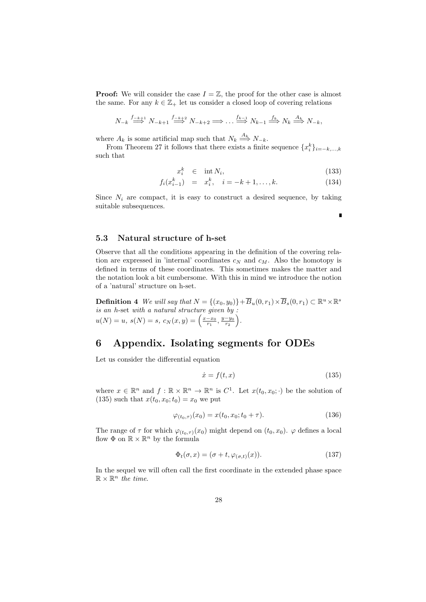**Proof:** We will consider the case  $I = \mathbb{Z}$ , the proof for the other case is almost the same. For any  $k \in \mathbb{Z}_+$  let us consider a closed loop of covering relations

$$
N_{-k} \stackrel{f_{-k+1}}{\Longrightarrow} N_{-k+1} \stackrel{f_{-k+2}}{\Longrightarrow} N_{-k+2} \Longrightarrow \dots \stackrel{f_{k-1}}{\Longrightarrow} N_{k-1} \stackrel{f_k}{\Longrightarrow} N_k \stackrel{A_k}{\Longrightarrow} N_{-k},
$$

where  $A_k$  is some artificial map such that  $N_k \stackrel{A_k}{\Longrightarrow} N_{-k}$ .

From Theorem 27 it follows that there exists a finite sequence  ${x_i^k}_{i= -k,\dots,k}$ such that

$$
x_i^k \in \text{int } N_i,\tag{133}
$$

ī

$$
f_i(x_{i-1}^k) = x_i^k, \quad i = -k+1, \dots, k. \tag{134}
$$

Since  $N_i$  are compact, it is easy to construct a desired sequence, by taking suitable subsequences.

# **5.3 Natural structure of h-set**

Observe that all the conditions appearing in the definition of the covering relation are expressed in 'internal' coordinates  $c_N$  and  $c_M$ . Also the homotopy is defined in terms of these coordinates. This sometimes makes the matter and the notation look a bit cumbersome. With this in mind we introduce the notion of a 'natural' structure on h-set.

**Definition 4** *We will say that*  $N = \{(x_0, y_0)\} + \overline{B}_u(0, r_1) \times \overline{B}_s(0, r_1) \subset \mathbb{R}^u \times \mathbb{R}^s$ *is an h*-set *with a natural structure given by :*  $u(N) = u, s(N) = s, c_N(x, y) = \left(\frac{x - x_0}{r_1}, \frac{y - y_0}{r_2}\right)$ ) *.*

# **6 Appendix. Isolating segments for ODEs**

Let us consider the differential equation

$$
\dot{x} = f(t, x) \tag{135}
$$

where  $x \in \mathbb{R}^n$  and  $f: \mathbb{R} \times \mathbb{R}^n \to \mathbb{R}^n$  is  $C^1$ . Let  $x(t_0, x_0; \cdot)$  be the solution of (135) such that  $x(t_0, x_0; t_0) = x_0$  we put

$$
\varphi_{(t_0,\tau)}(x_0) = x(t_0, x_0; t_0 + \tau). \tag{136}
$$

The range of  $\tau$  for which  $\varphi_{(t_0,\tau)}(x_0)$  might depend on  $(t_0, x_0)$ .  $\varphi$  defines a local flow  $\Phi$  on  $\mathbb{R} \times \mathbb{R}^n$  by the formula

$$
\Phi_t(\sigma, x) = (\sigma + t, \varphi_{(\sigma, t)}(x)). \tag{137}
$$

In the sequel we will often call the first coordinate in the extended phase space  $\mathbb{R} \times \mathbb{R}^n$  *the time.*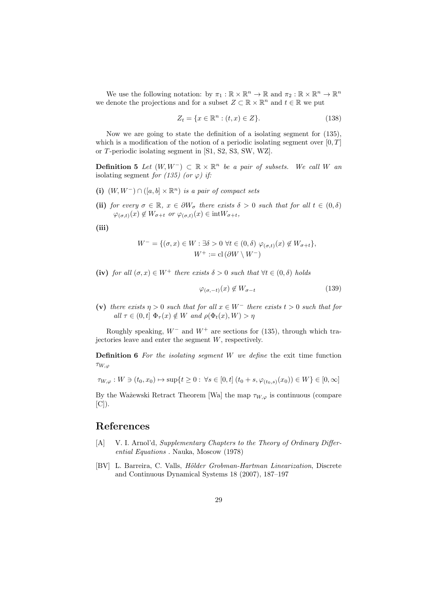We use the following notation: by  $\pi_1 : \mathbb{R} \times \mathbb{R}^n \to \mathbb{R}$  and  $\pi_2 : \mathbb{R} \times \mathbb{R}^n \to \mathbb{R}^n$ we denote the projections and for a subset  $Z \subset \mathbb{R} \times \mathbb{R}^n$  and  $t \in \mathbb{R}$  we put

$$
Z_t = \{ x \in \mathbb{R}^n : (t, x) \in Z \}. \tag{138}
$$

Now we are going to state the definition of a isolating segment for (135), which is a modification of the notion of a periodic isolating segment over [0*, T*] or *T*-periodic isolating segment in [S1, S2, S3, SW, WZ].

**Definition 5** *Let*  $(W, W^-)$  ⊂  $\mathbb{R} \times \mathbb{R}^n$  *be a pair of subsets. We call W an* isolating segment *for* (135) (or  $\varphi$ ) if:

- **(i)** (*W, W−*) *∩* ([*a, b*] *×* R *<sup>n</sup>*) *is a pair of compact sets*
- **(ii)** *for every*  $\sigma \in \mathbb{R}$ *,*  $x \in \partial W_{\sigma}$  *there exists*  $\delta > 0$  *such that for all*  $t \in (0, \delta)$  $\varphi_{(\sigma,t)}(x) \notin W_{\sigma+t}$  *or*  $\varphi_{(\sigma,t)}(x) \in \text{int}W_{\sigma+t}$ ,

**(iii)**

$$
W^- = \{ (\sigma, x) \in W : \exists \delta > 0 \ \forall t \in (0, \delta) \ \varphi_{(\sigma, t)}(x) \notin W_{\sigma + t} \},
$$
  

$$
W^+ := \text{cl} \left( \partial W \setminus W^- \right)
$$

**(iv)** *for all*  $(\sigma, x) \in W^+$  *there exists*  $\delta > 0$  *such that*  $\forall t \in (0, \delta)$  *holds* 

$$
\varphi_{(\sigma,-t)}(x) \notin W_{\sigma-t} \tag{139}
$$

**(v)** *there exists*  $\eta > 0$  *such that for all*  $x \in W^-$  *there exists*  $t > 0$  *such that for*  $all \tau \in (0, t] \Phi_\tau(x) \notin W$  *and*  $\rho(\Phi_t(x), W) > \eta$ 

Roughly speaking, *W<sup>−</sup>* and *W*<sup>+</sup> are sections for (135), through which trajectories leave and enter the segment *W*, respectively.

**Definition 6** *For the isolating segment W we define* the exit time function *τW,φ*

$$
\tau_{W,\varphi}: W \ni (t_0, x_0) \mapsto \sup\{t \ge 0 : \ \forall s \in [0, t] \ (t_0 + s, \varphi_{(t_0, s)}(x_0)) \in W\} \in [0, \infty]
$$

By the Ważewski Retract Theorem [Wa] the map  $\tau_{W,\varphi}$  is continuous (compare  $[C]$ .

# **References**

- [A] V. I. Arnol'd, *Supplementary Chapters to the Theory of Ordinary Differential Equations* . Nauka, Moscow (1978)
- [BV] L. Barreira, C. Valls, *H¨older Grobman-Hartman Linearization*, Discrete and Continuous Dynamical Systems 18 (2007), 187–197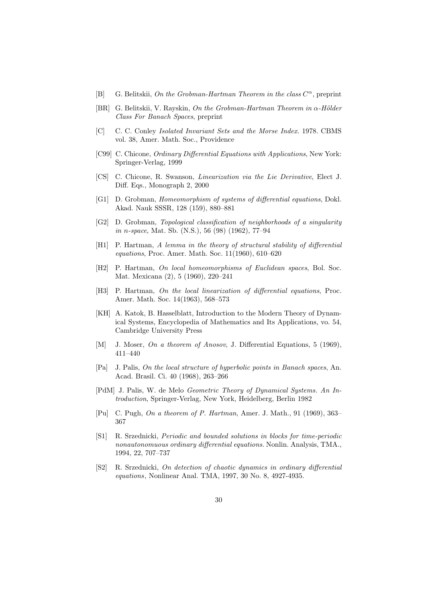- [B] G. Belitskii, *On the Grobman-Hartman Theorem in the class C <sup>α</sup>*, preprint
- [BR] G. Belitskii, V. Rayskin, *On the Grobman-Hartman Theorem in α-H¨older Class For Banach Spaces*, preprint
- [C] C. C. Conley *Isolated Invariant Sets and the Morse Index.* 1978. CBMS vol. 38, Amer. Math. Soc., Providence
- [C99] C. Chicone, *Ordinary Differential Equations with Applications*, New York: Springer-Verlag, 1999
- [CS] C. Chicone, R. Swanson, *Linearization via the Lie Derivative*, Elect J. Diff. Eqs., Monograph 2, 2000
- [G1] D. Grobman, *Homeomorphism of systems of differential equations*, Dokl. Akad. Nauk SSSR, 128 (159), 880–881
- [G2] D. Grobman, *Topological classification of neighborhoods of a singularity in n-space*, Mat. Sb. (N.S.), 56 (98) (1962), 77–94
- [H1] P. Hartman, *A lemma in the theory of structural stability of differential equations*, Proc. Amer. Math. Soc. 11(1960), 610–620
- [H2] P. Hartman, *On local homeomorphisms of Euclidean spaces*, Bol. Soc. Mat. Mexicana (2), 5 (1960), 220–241
- [H3] P. Hartman, *On the local linearization of differential equations*, Proc. Amer. Math. Soc. 14(1963), 568–573
- [KH] A. Katok, B. Hasselblatt, Introduction to the Modern Theory of Dynamical Systems, Encyclopedia of Mathematics and Its Applications, vo. 54, Cambridge University Press
- [M] J. Moser, *On a theorem of Anosov*, J. Differential Equations, 5 (1969), 411–440
- [Pa] J. Palis, *On the local structure of hyperbolic points in Banach spaces*, An. Acad. Brasil. Ci. 40 (1968), 263–266
- [PdM] J. Palis, W. de Melo *Geometric Theory of Dynamical Systems. An Introduction*, Springer-Verlag, New York, Heidelberg, Berlin 1982
- [Pu] C. Pugh, *On a theorem of P. Hartman*, Amer. J. Math., 91 (1969), 363– 367
- [S1] R. Srzednicki, *Periodic and bounded solutions in blocks for time-periodic nonautonomuous ordinary differential equations.* Nonlin. Analysis, TMA., 1994, 22, 707–737
- [S2] R. Srzednicki, *On detection of chaotic dynamics in ordinary differential equations*, Nonlinear Anal. TMA, 1997, 30 No. 8, 4927-4935.